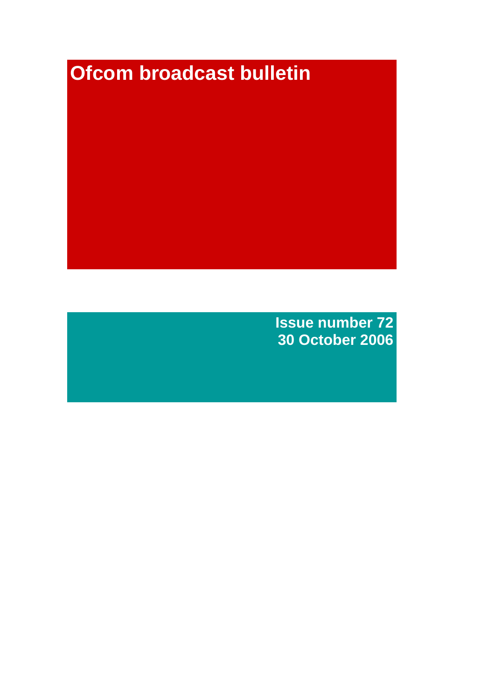# **Ofcom broadcast bulletin**

**Issue number 72 30 October 2006**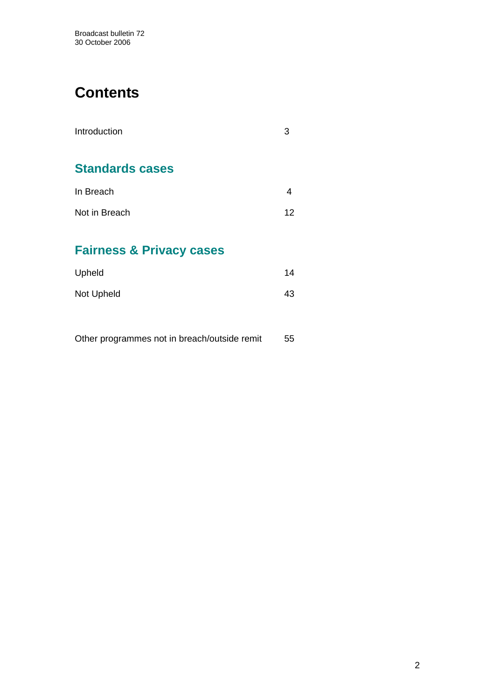# **Contents**

| Introduction                                                |          |
|-------------------------------------------------------------|----------|
| <b>Standards cases</b>                                      |          |
| In Breach                                                   | 4        |
| Not in Breach                                               | 12       |
| <b>Fairness &amp; Privacy cases</b><br>Upheld<br>Not Upheld | 14<br>43 |
|                                                             |          |

Other programmes not in breach/outside remit 55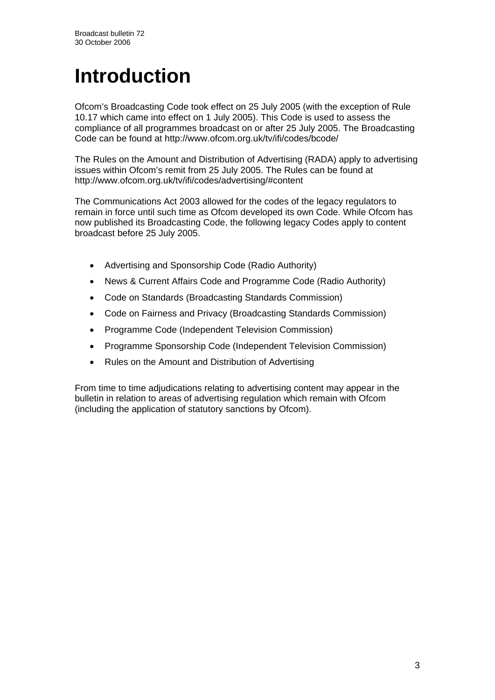# **Introduction**

Ofcom's Broadcasting Code took effect on 25 July 2005 (with the exception of Rule 10.17 which came into effect on 1 July 2005). This Code is used to assess the compliance of all programmes broadcast on or after 25 July 2005. The Broadcasting Code can be found at http://www.ofcom.org.uk/tv/ifi/codes/bcode/

The Rules on the Amount and Distribution of Advertising (RADA) apply to advertising issues within Ofcom's remit from 25 July 2005. The Rules can be found at http://www.ofcom.org.uk/tv/ifi/codes/advertising/#content

The Communications Act 2003 allowed for the codes of the legacy regulators to remain in force until such time as Ofcom developed its own Code. While Ofcom has now published its Broadcasting Code, the following legacy Codes apply to content broadcast before 25 July 2005.

- Advertising and Sponsorship Code (Radio Authority)
- News & Current Affairs Code and Programme Code (Radio Authority)
- Code on Standards (Broadcasting Standards Commission)
- Code on Fairness and Privacy (Broadcasting Standards Commission)
- Programme Code (Independent Television Commission)
- Programme Sponsorship Code (Independent Television Commission)
- Rules on the Amount and Distribution of Advertising

From time to time adjudications relating to advertising content may appear in the bulletin in relation to areas of advertising regulation which remain with Ofcom (including the application of statutory sanctions by Ofcom).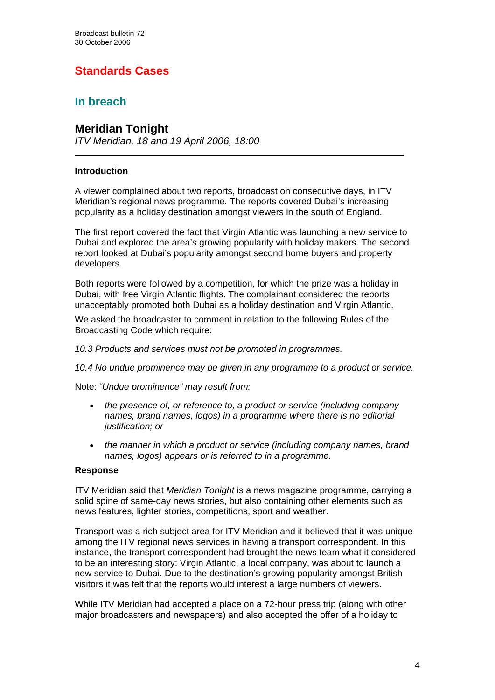## **Standards Cases**

## **In breach**

## **Meridian Tonight**

*ITV Meridian, 18 and 19 April 2006, 18:00* 

#### **Introduction**

 $\overline{a}$ 

A viewer complained about two reports, broadcast on consecutive days, in ITV Meridian's regional news programme. The reports covered Dubai's increasing popularity as a holiday destination amongst viewers in the south of England.

The first report covered the fact that Virgin Atlantic was launching a new service to Dubai and explored the area's growing popularity with holiday makers. The second report looked at Dubai's popularity amongst second home buyers and property developers.

Both reports were followed by a competition, for which the prize was a holiday in Dubai, with free Virgin Atlantic flights. The complainant considered the reports unacceptably promoted both Dubai as a holiday destination and Virgin Atlantic.

We asked the broadcaster to comment in relation to the following Rules of the Broadcasting Code which require:

#### *10.3 Products and services must not be promoted in programmes.*

*10.4 No undue prominence may be given in any programme to a product or service.* 

Note: *"Undue prominence" may result from:* 

- *the presence of, or reference to, a product or service (including company names, brand names, logos) in a programme where there is no editorial justification; or*
- *the manner in which a product or service (including company names, brand names, logos) appears or is referred to in a programme.*

#### **Response**

ITV Meridian said that *Meridian Tonight* is a news magazine programme, carrying a solid spine of same-day news stories, but also containing other elements such as news features, lighter stories, competitions, sport and weather.

Transport was a rich subject area for ITV Meridian and it believed that it was unique among the ITV regional news services in having a transport correspondent. In this instance, the transport correspondent had brought the news team what it considered to be an interesting story: Virgin Atlantic, a local company, was about to launch a new service to Dubai. Due to the destination's growing popularity amongst British visitors it was felt that the reports would interest a large numbers of viewers.

While ITV Meridian had accepted a place on a 72-hour press trip (along with other major broadcasters and newspapers) and also accepted the offer of a holiday to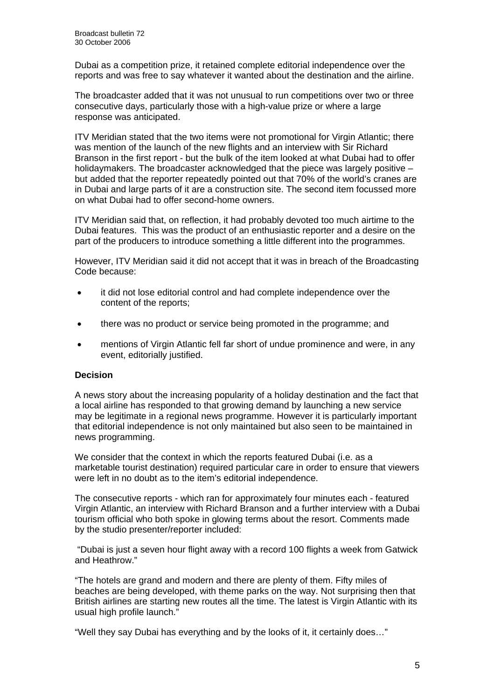Dubai as a competition prize, it retained complete editorial independence over the reports and was free to say whatever it wanted about the destination and the airline.

The broadcaster added that it was not unusual to run competitions over two or three consecutive days, particularly those with a high-value prize or where a large response was anticipated.

ITV Meridian stated that the two items were not promotional for Virgin Atlantic; there was mention of the launch of the new flights and an interview with Sir Richard Branson in the first report - but the bulk of the item looked at what Dubai had to offer holidaymakers. The broadcaster acknowledged that the piece was largely positive – but added that the reporter repeatedly pointed out that 70% of the world's cranes are in Dubai and large parts of it are a construction site. The second item focussed more on what Dubai had to offer second-home owners.

ITV Meridian said that, on reflection, it had probably devoted too much airtime to the Dubai features. This was the product of an enthusiastic reporter and a desire on the part of the producers to introduce something a little different into the programmes.

However, ITV Meridian said it did not accept that it was in breach of the Broadcasting Code because:

- it did not lose editorial control and had complete independence over the content of the reports;
- there was no product or service being promoted in the programme; and
- mentions of Virgin Atlantic fell far short of undue prominence and were, in any event, editorially justified.

#### **Decision**

A news story about the increasing popularity of a holiday destination and the fact that a local airline has responded to that growing demand by launching a new service may be legitimate in a regional news programme. However it is particularly important that editorial independence is not only maintained but also seen to be maintained in news programming.

We consider that the context in which the reports featured Dubai (i.e. as a marketable tourist destination) required particular care in order to ensure that viewers were left in no doubt as to the item's editorial independence.

The consecutive reports - which ran for approximately four minutes each - featured Virgin Atlantic, an interview with Richard Branson and a further interview with a Dubai tourism official who both spoke in glowing terms about the resort. Comments made by the studio presenter/reporter included:

 "Dubai is just a seven hour flight away with a record 100 flights a week from Gatwick and Heathrow."

"The hotels are grand and modern and there are plenty of them. Fifty miles of beaches are being developed, with theme parks on the way. Not surprising then that British airlines are starting new routes all the time. The latest is Virgin Atlantic with its usual high profile launch."

"Well they say Dubai has everything and by the looks of it, it certainly does…"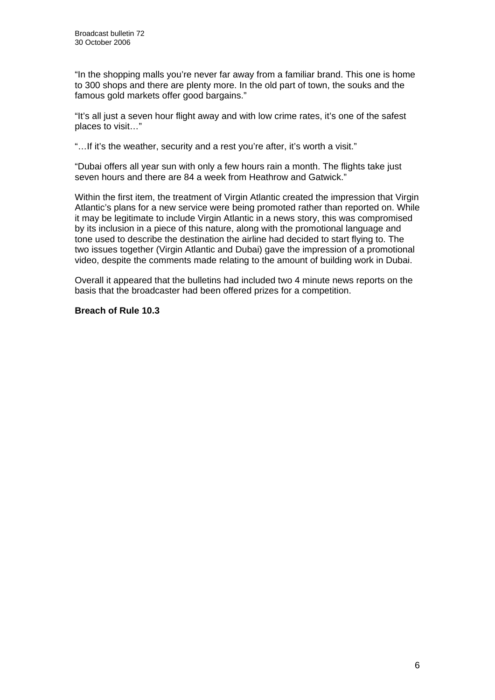"In the shopping malls you're never far away from a familiar brand. This one is home to 300 shops and there are plenty more. In the old part of town, the souks and the famous gold markets offer good bargains."

"It's all just a seven hour flight away and with low crime rates, it's one of the safest places to visit…"

"…If it's the weather, security and a rest you're after, it's worth a visit."

"Dubai offers all year sun with only a few hours rain a month. The flights take just seven hours and there are 84 a week from Heathrow and Gatwick."

Within the first item, the treatment of Virgin Atlantic created the impression that Virgin Atlantic's plans for a new service were being promoted rather than reported on. While it may be legitimate to include Virgin Atlantic in a news story, this was compromised by its inclusion in a piece of this nature, along with the promotional language and tone used to describe the destination the airline had decided to start flying to. The two issues together (Virgin Atlantic and Dubai) gave the impression of a promotional video, despite the comments made relating to the amount of building work in Dubai.

Overall it appeared that the bulletins had included two 4 minute news reports on the basis that the broadcaster had been offered prizes for a competition.

#### **Breach of Rule 10.3**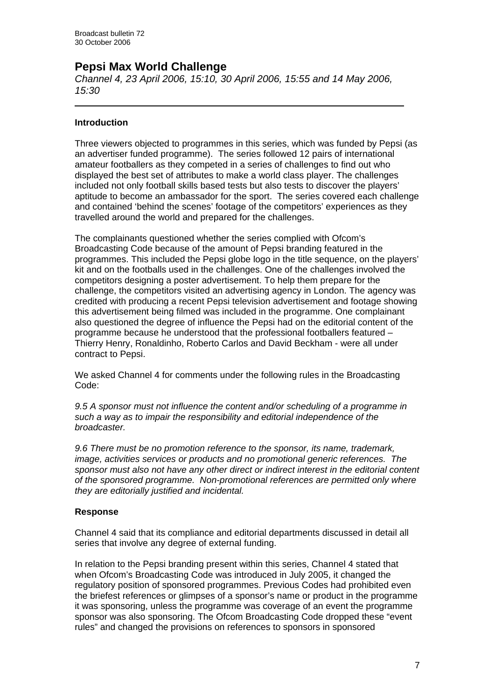## **Pepsi Max World Challenge**

*Channel 4, 23 April 2006, 15:10, 30 April 2006, 15:55 and 14 May 2006, 15:30* 

#### **Introduction**

 $\overline{a}$ 

Three viewers objected to programmes in this series, which was funded by Pepsi (as an advertiser funded programme). The series followed 12 pairs of international amateur footballers as they competed in a series of challenges to find out who displayed the best set of attributes to make a world class player. The challenges included not only football skills based tests but also tests to discover the players' aptitude to become an ambassador for the sport. The series covered each challenge and contained 'behind the scenes' footage of the competitors' experiences as they travelled around the world and prepared for the challenges.

The complainants questioned whether the series complied with Ofcom's Broadcasting Code because of the amount of Pepsi branding featured in the programmes. This included the Pepsi globe logo in the title sequence, on the players' kit and on the footballs used in the challenges. One of the challenges involved the competitors designing a poster advertisement. To help them prepare for the challenge, the competitors visited an advertising agency in London. The agency was credited with producing a recent Pepsi television advertisement and footage showing this advertisement being filmed was included in the programme. One complainant also questioned the degree of influence the Pepsi had on the editorial content of the programme because he understood that the professional footballers featured – Thierry Henry, Ronaldinho, Roberto Carlos and David Beckham - were all under contract to Pepsi.

We asked Channel 4 for comments under the following rules in the Broadcasting Code:

*9.5 A sponsor must not influence the content and/or scheduling of a programme in such a way as to impair the responsibility and editorial independence of the broadcaster.* 

*9.6 There must be no promotion reference to the sponsor, its name, trademark, image, activities services or products and no promotional generic references. The sponsor must also not have any other direct or indirect interest in the editorial content of the sponsored programme. Non-promotional references are permitted only where they are editorially justified and incidental.* 

#### **Response**

Channel 4 said that its compliance and editorial departments discussed in detail all series that involve any degree of external funding.

In relation to the Pepsi branding present within this series, Channel 4 stated that when Ofcom's Broadcasting Code was introduced in July 2005, it changed the regulatory position of sponsored programmes. Previous Codes had prohibited even the briefest references or glimpses of a sponsor's name or product in the programme it was sponsoring, unless the programme was coverage of an event the programme sponsor was also sponsoring. The Ofcom Broadcasting Code dropped these "event rules" and changed the provisions on references to sponsors in sponsored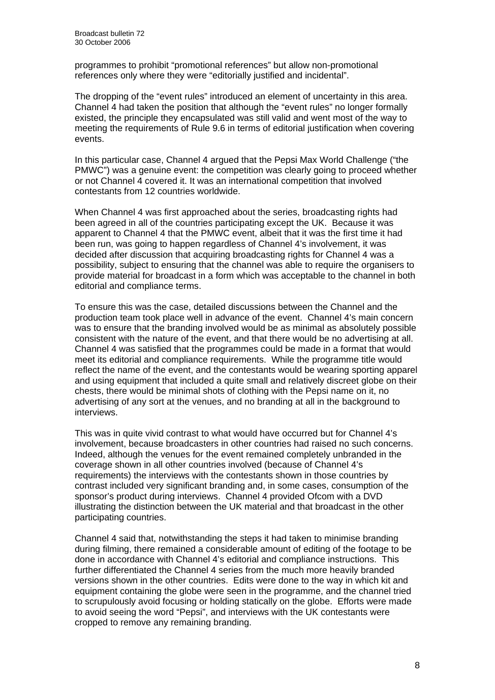programmes to prohibit "promotional references" but allow non-promotional references only where they were "editorially justified and incidental".

The dropping of the "event rules" introduced an element of uncertainty in this area. Channel 4 had taken the position that although the "event rules" no longer formally existed, the principle they encapsulated was still valid and went most of the way to meeting the requirements of Rule 9.6 in terms of editorial justification when covering events.

In this particular case, Channel 4 argued that the Pepsi Max World Challenge ("the PMWC") was a genuine event: the competition was clearly going to proceed whether or not Channel 4 covered it. It was an international competition that involved contestants from 12 countries worldwide.

When Channel 4 was first approached about the series, broadcasting rights had been agreed in all of the countries participating except the UK. Because it was apparent to Channel 4 that the PMWC event, albeit that it was the first time it had been run, was going to happen regardless of Channel 4's involvement, it was decided after discussion that acquiring broadcasting rights for Channel 4 was a possibility, subject to ensuring that the channel was able to require the organisers to provide material for broadcast in a form which was acceptable to the channel in both editorial and compliance terms.

To ensure this was the case, detailed discussions between the Channel and the production team took place well in advance of the event. Channel 4's main concern was to ensure that the branding involved would be as minimal as absolutely possible consistent with the nature of the event, and that there would be no advertising at all. Channel 4 was satisfied that the programmes could be made in a format that would meet its editorial and compliance requirements. While the programme title would reflect the name of the event, and the contestants would be wearing sporting apparel and using equipment that included a quite small and relatively discreet globe on their chests, there would be minimal shots of clothing with the Pepsi name on it, no advertising of any sort at the venues, and no branding at all in the background to interviews.

This was in quite vivid contrast to what would have occurred but for Channel 4's involvement, because broadcasters in other countries had raised no such concerns. Indeed, although the venues for the event remained completely unbranded in the coverage shown in all other countries involved (because of Channel 4's requirements) the interviews with the contestants shown in those countries by contrast included very significant branding and, in some cases, consumption of the sponsor's product during interviews. Channel 4 provided Ofcom with a DVD illustrating the distinction between the UK material and that broadcast in the other participating countries.

Channel 4 said that, notwithstanding the steps it had taken to minimise branding during filming, there remained a considerable amount of editing of the footage to be done in accordance with Channel 4's editorial and compliance instructions. This further differentiated the Channel 4 series from the much more heavily branded versions shown in the other countries. Edits were done to the way in which kit and equipment containing the globe were seen in the programme, and the channel tried to scrupulously avoid focusing or holding statically on the globe. Efforts were made to avoid seeing the word "Pepsi", and interviews with the UK contestants were cropped to remove any remaining branding.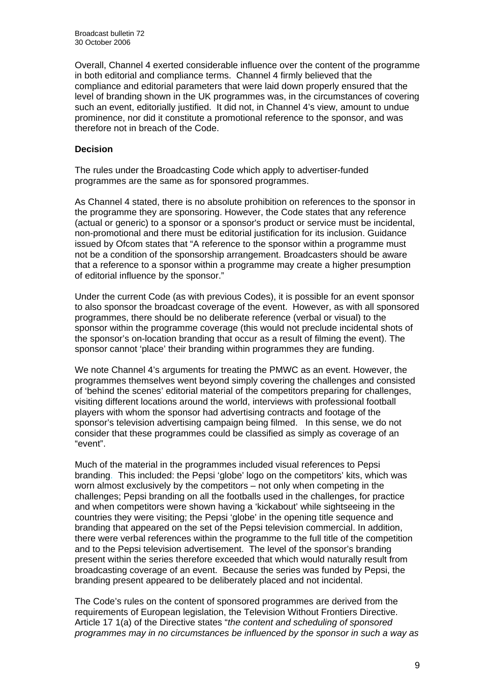Overall, Channel 4 exerted considerable influence over the content of the programme in both editorial and compliance terms. Channel 4 firmly believed that the compliance and editorial parameters that were laid down properly ensured that the level of branding shown in the UK programmes was, in the circumstances of covering such an event, editorially justified. It did not, in Channel 4's view, amount to undue prominence, nor did it constitute a promotional reference to the sponsor, and was therefore not in breach of the Code.

#### **Decision**

The rules under the Broadcasting Code which apply to advertiser-funded programmes are the same as for sponsored programmes.

As Channel 4 stated, there is no absolute prohibition on references to the sponsor in the programme they are sponsoring. However, the Code states that any reference (actual or generic) to a sponsor or a sponsor's product or service must be incidental, non-promotional and there must be editorial justification for its inclusion. Guidance issued by Ofcom states that "A reference to the sponsor within a programme must not be a condition of the sponsorship arrangement. Broadcasters should be aware that a reference to a sponsor within a programme may create a higher presumption of editorial influence by the sponsor."

Under the current Code (as with previous Codes), it is possible for an event sponsor to also sponsor the broadcast coverage of the event. However, as with all sponsored programmes, there should be no deliberate reference (verbal or visual) to the sponsor within the programme coverage (this would not preclude incidental shots of the sponsor's on-location branding that occur as a result of filming the event). The sponsor cannot 'place' their branding within programmes they are funding.

We note Channel 4's arguments for treating the PMWC as an event. However, the programmes themselves went beyond simply covering the challenges and consisted of 'behind the scenes' editorial material of the competitors preparing for challenges, visiting different locations around the world, interviews with professional football players with whom the sponsor had advertising contracts and footage of the sponsor's television advertising campaign being filmed. In this sense, we do not consider that these programmes could be classified as simply as coverage of an "event".

Much of the material in the programmes included visual references to Pepsi branding. This included: the Pepsi 'globe' logo on the competitors' kits, which was worn almost exclusively by the competitors – not only when competing in the challenges; Pepsi branding on all the footballs used in the challenges, for practice and when competitors were shown having a 'kickabout' while sightseeing in the countries they were visiting; the Pepsi 'globe' in the opening title sequence and branding that appeared on the set of the Pepsi television commercial. In addition, there were verbal references within the programme to the full title of the competition and to the Pepsi television advertisement. The level of the sponsor's branding present within the series therefore exceeded that which would naturally result from broadcasting coverage of an event. Because the series was funded by Pepsi, the branding present appeared to be deliberately placed and not incidental.

The Code's rules on the content of sponsored programmes are derived from the requirements of European legislation, the Television Without Frontiers Directive. Article 17 1(a) of the Directive states "*the content and scheduling of sponsored programmes may in no circumstances be influenced by the sponsor in such a way as*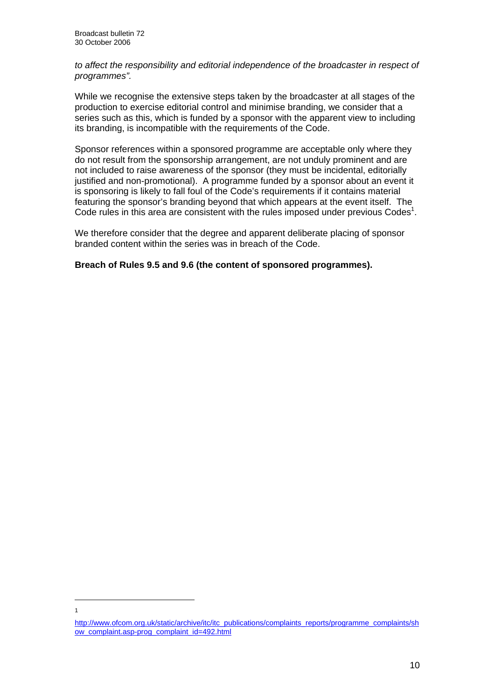$\overline{a}$ 1

*to affect the responsibility and editorial independence of the broadcaster in respect of programmes".* 

While we recognise the extensive steps taken by the broadcaster at all stages of the production to exercise editorial control and minimise branding, we consider that a series such as this, which is funded by a sponsor with the apparent view to including its branding, is incompatible with the requirements of the Code.

Sponsor references within a sponsored programme are acceptable only where they do not result from the sponsorship arrangement, are not unduly prominent and are not included to raise awareness of the sponsor (they must be incidental, editorially justified and non-promotional). A programme funded by a sponsor about an event it is sponsoring is likely to fall foul of the Code's requirements if it contains material featuring the sponsor's branding beyond that which appears at the event itself. The Code rules in this area are consistent with the rules imposed under previous Codes<sup>1</sup>.

We therefore consider that the degree and apparent deliberate placing of sponsor branded content within the series was in breach of the Code.

**Breach of Rules 9.5 and 9.6 (the content of sponsored programmes).** 

http://www.ofcom.org.uk/static/archive/itc/itc\_publications/complaints\_reports/programme\_complaints/sh ow\_complaint.asp-prog\_complaint\_id=492.html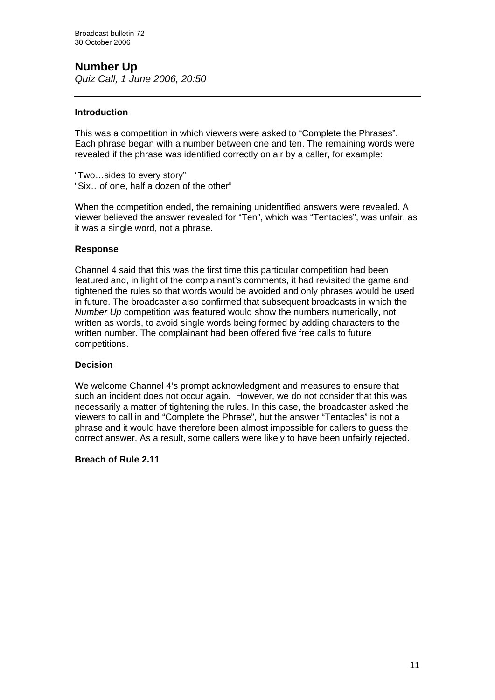## **Number Up**

*Quiz Call, 1 June 2006, 20:50*

#### **Introduction**

This was a competition in which viewers were asked to "Complete the Phrases". Each phrase began with a number between one and ten. The remaining words were revealed if the phrase was identified correctly on air by a caller, for example:

"Two…sides to every story" "Six…of one, half a dozen of the other"

When the competition ended, the remaining unidentified answers were revealed. A viewer believed the answer revealed for "Ten", which was "Tentacles", was unfair, as it was a single word, not a phrase.

#### **Response**

Channel 4 said that this was the first time this particular competition had been featured and, in light of the complainant's comments, it had revisited the game and tightened the rules so that words would be avoided and only phrases would be used in future. The broadcaster also confirmed that subsequent broadcasts in which the *Number Up* competition was featured would show the numbers numerically, not written as words, to avoid single words being formed by adding characters to the written number. The complainant had been offered five free calls to future competitions.

#### **Decision**

We welcome Channel 4's prompt acknowledgment and measures to ensure that such an incident does not occur again. However, we do not consider that this was necessarily a matter of tightening the rules. In this case, the broadcaster asked the viewers to call in and "Complete the Phrase", but the answer "Tentacles" is not a phrase and it would have therefore been almost impossible for callers to guess the correct answer. As a result, some callers were likely to have been unfairly rejected.

#### **Breach of Rule 2.11**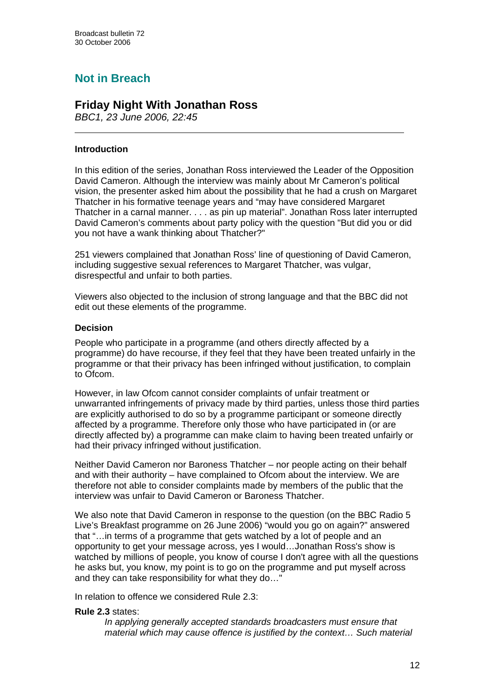## **Not in Breach**

### **Friday Night With Jonathan Ross**

*BBC1, 23 June 2006, 22:45*

#### **Introduction**

 $\overline{a}$ 

In this edition of the series, Jonathan Ross interviewed the Leader of the Opposition David Cameron. Although the interview was mainly about Mr Cameron's political vision, the presenter asked him about the possibility that he had a crush on Margaret Thatcher in his formative teenage years and "may have considered Margaret Thatcher in a carnal manner. . . . as pin up material". Jonathan Ross later interrupted David Cameron's comments about party policy with the question "But did you or did you not have a wank thinking about Thatcher?"

251 viewers complained that Jonathan Ross' line of questioning of David Cameron, including suggestive sexual references to Margaret Thatcher, was vulgar, disrespectful and unfair to both parties.

Viewers also objected to the inclusion of strong language and that the BBC did not edit out these elements of the programme.

#### **Decision**

People who participate in a programme (and others directly affected by a programme) do have recourse, if they feel that they have been treated unfairly in the programme or that their privacy has been infringed without justification, to complain to Ofcom.

However, in law Ofcom cannot consider complaints of unfair treatment or unwarranted infringements of privacy made by third parties, unless those third parties are explicitly authorised to do so by a programme participant or someone directly affected by a programme. Therefore only those who have participated in (or are directly affected by) a programme can make claim to having been treated unfairly or had their privacy infringed without justification.

Neither David Cameron nor Baroness Thatcher – nor people acting on their behalf and with their authority – have complained to Ofcom about the interview. We are therefore not able to consider complaints made by members of the public that the interview was unfair to David Cameron or Baroness Thatcher.

We also note that David Cameron in response to the question (on the BBC Radio 5 Live's Breakfast programme on 26 June 2006) "would you go on again?" answered that "…in terms of a programme that gets watched by a lot of people and an opportunity to get your message across, yes I would…Jonathan Ross's show is watched by millions of people, you know of course I don't agree with all the questions he asks but, you know, my point is to go on the programme and put myself across and they can take responsibility for what they do…"

In relation to offence we considered Rule 2.3:

#### **Rule 2.3** states:

*In applying generally accepted standards broadcasters must ensure that material which may cause offence is justified by the context… Such material*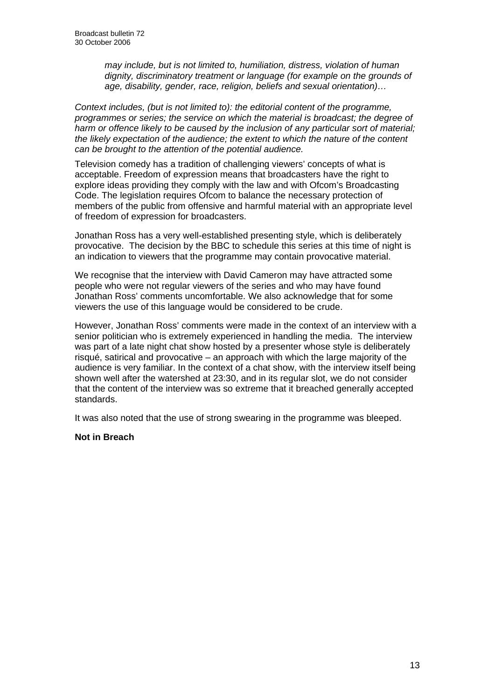*may include, but is not limited to, humiliation, distress, violation of human dignity, discriminatory treatment or language (for example on the grounds of age, disability, gender, race, religion, beliefs and sexual orientation)…* 

*Context includes, (but is not limited to): the editorial content of the programme, programmes or series; the service on which the material is broadcast; the degree of harm or offence likely to be caused by the inclusion of any particular sort of material; the likely expectation of the audience; the extent to which the nature of the content can be brought to the attention of the potential audience.* 

Television comedy has a tradition of challenging viewers' concepts of what is acceptable. Freedom of expression means that broadcasters have the right to explore ideas providing they comply with the law and with Ofcom's Broadcasting Code. The legislation requires Ofcom to balance the necessary protection of members of the public from offensive and harmful material with an appropriate level of freedom of expression for broadcasters.

Jonathan Ross has a very well-established presenting style, which is deliberately provocative. The decision by the BBC to schedule this series at this time of night is an indication to viewers that the programme may contain provocative material.

We recognise that the interview with David Cameron may have attracted some people who were not regular viewers of the series and who may have found Jonathan Ross' comments uncomfortable. We also acknowledge that for some viewers the use of this language would be considered to be crude.

However, Jonathan Ross' comments were made in the context of an interview with a senior politician who is extremely experienced in handling the media. The interview was part of a late night chat show hosted by a presenter whose style is deliberately risqué, satirical and provocative – an approach with which the large majority of the audience is very familiar. In the context of a chat show, with the interview itself being shown well after the watershed at 23:30, and in its regular slot, we do not consider that the content of the interview was so extreme that it breached generally accepted standards.

It was also noted that the use of strong swearing in the programme was bleeped.

#### **Not in Breach**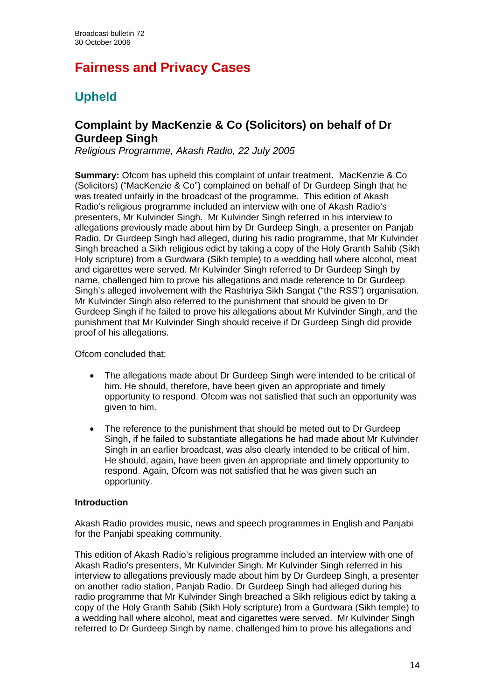## **Fairness and Privacy Cases**

## **Upheld**

## **Complaint by MacKenzie & Co (Solicitors) on behalf of Dr Gurdeep Singh**

*Religious Programme, Akash Radio, 22 July 2005* 

**Summary:** Ofcom has upheld this complaint of unfair treatment. MacKenzie & Co (Solicitors) ("MacKenzie & Co") complained on behalf of Dr Gurdeep Singh that he was treated unfairly in the broadcast of the programme. This edition of Akash Radio's religious programme included an interview with one of Akash Radio's presenters, Mr Kulvinder Singh. Mr Kulvinder Singh referred in his interview to allegations previously made about him by Dr Gurdeep Singh, a presenter on Panjab Radio. Dr Gurdeep Singh had alleged, during his radio programme, that Mr Kulvinder Singh breached a Sikh religious edict by taking a copy of the Holy Granth Sahib (Sikh Holy scripture) from a Gurdwara (Sikh temple) to a wedding hall where alcohol, meat and cigarettes were served. Mr Kulvinder Singh referred to Dr Gurdeep Singh by name, challenged him to prove his allegations and made reference to Dr Gurdeep Singh's alleged involvement with the Rashtriya Sikh Sangat ("the RSS") organisation. Mr Kulvinder Singh also referred to the punishment that should be given to Dr Gurdeep Singh if he failed to prove his allegations about Mr Kulvinder Singh, and the punishment that Mr Kulvinder Singh should receive if Dr Gurdeep Singh did provide proof of his allegations.

Ofcom concluded that:

- The allegations made about Dr Gurdeep Singh were intended to be critical of him. He should, therefore, have been given an appropriate and timely opportunity to respond. Ofcom was not satisfied that such an opportunity was given to him.
- The reference to the punishment that should be meted out to Dr Gurdeep Singh, if he failed to substantiate allegations he had made about Mr Kulvinder Singh in an earlier broadcast, was also clearly intended to be critical of him. He should, again, have been given an appropriate and timely opportunity to respond. Again, Ofcom was not satisfied that he was given such an opportunity.

#### **Introduction**

Akash Radio provides music, news and speech programmes in English and Panjabi for the Panjabi speaking community.

This edition of Akash Radio's religious programme included an interview with one of Akash Radio's presenters, Mr Kulvinder Singh. Mr Kulvinder Singh referred in his interview to allegations previously made about him by Dr Gurdeep Singh, a presenter on another radio station, Panjab Radio. Dr Gurdeep Singh had alleged during his radio programme that Mr Kulvinder Singh breached a Sikh religious edict by taking a copy of the Holy Granth Sahib (Sikh Holy scripture) from a Gurdwara (Sikh temple) to a wedding hall where alcohol, meat and cigarettes were served. Mr Kulvinder Singh referred to Dr Gurdeep Singh by name, challenged him to prove his allegations and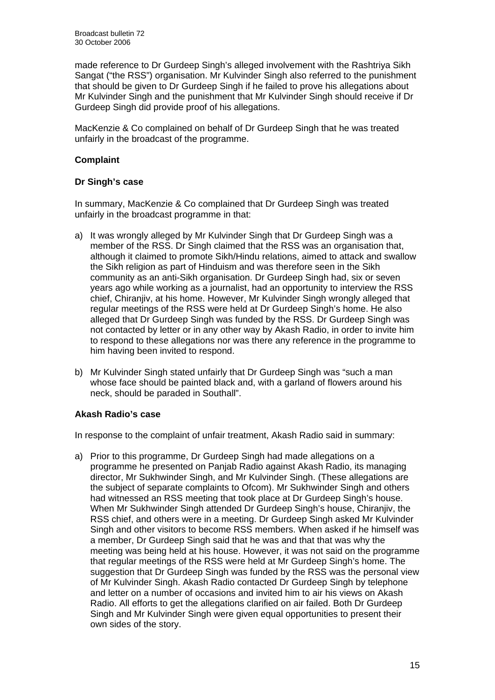made reference to Dr Gurdeep Singh's alleged involvement with the Rashtriya Sikh Sangat ("the RSS") organisation. Mr Kulvinder Singh also referred to the punishment that should be given to Dr Gurdeep Singh if he failed to prove his allegations about Mr Kulvinder Singh and the punishment that Mr Kulvinder Singh should receive if Dr Gurdeep Singh did provide proof of his allegations.

MacKenzie & Co complained on behalf of Dr Gurdeep Singh that he was treated unfairly in the broadcast of the programme.

#### **Complaint**

#### **Dr Singh's case**

In summary, MacKenzie & Co complained that Dr Gurdeep Singh was treated unfairly in the broadcast programme in that:

- a) It was wrongly alleged by Mr Kulvinder Singh that Dr Gurdeep Singh was a member of the RSS. Dr Singh claimed that the RSS was an organisation that, although it claimed to promote Sikh/Hindu relations, aimed to attack and swallow the Sikh religion as part of Hinduism and was therefore seen in the Sikh community as an anti-Sikh organisation. Dr Gurdeep Singh had, six or seven years ago while working as a journalist, had an opportunity to interview the RSS chief, Chiranjiv, at his home. However, Mr Kulvinder Singh wrongly alleged that regular meetings of the RSS were held at Dr Gurdeep Singh's home. He also alleged that Dr Gurdeep Singh was funded by the RSS. Dr Gurdeep Singh was not contacted by letter or in any other way by Akash Radio, in order to invite him to respond to these allegations nor was there any reference in the programme to him having been invited to respond.
- b) Mr Kulvinder Singh stated unfairly that Dr Gurdeep Singh was "such a man whose face should be painted black and, with a garland of flowers around his neck, should be paraded in Southall".

#### **Akash Radio's case**

In response to the complaint of unfair treatment, Akash Radio said in summary:

a) Prior to this programme, Dr Gurdeep Singh had made allegations on a programme he presented on Panjab Radio against Akash Radio, its managing director, Mr Sukhwinder Singh, and Mr Kulvinder Singh. (These allegations are the subject of separate complaints to Ofcom). Mr Sukhwinder Singh and others had witnessed an RSS meeting that took place at Dr Gurdeep Singh's house. When Mr Sukhwinder Singh attended Dr Gurdeep Singh's house, Chiranjiv, the RSS chief, and others were in a meeting. Dr Gurdeep Singh asked Mr Kulvinder Singh and other visitors to become RSS members. When asked if he himself was a member, Dr Gurdeep Singh said that he was and that that was why the meeting was being held at his house. However, it was not said on the programme that regular meetings of the RSS were held at Mr Gurdeep Singh's home. The suggestion that Dr Gurdeep Singh was funded by the RSS was the personal view of Mr Kulvinder Singh. Akash Radio contacted Dr Gurdeep Singh by telephone and letter on a number of occasions and invited him to air his views on Akash Radio. All efforts to get the allegations clarified on air failed. Both Dr Gurdeep Singh and Mr Kulvinder Singh were given equal opportunities to present their own sides of the story.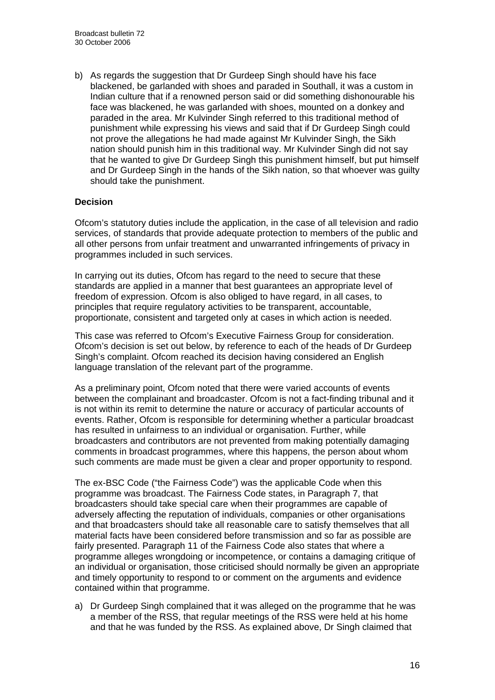b) As regards the suggestion that Dr Gurdeep Singh should have his face blackened, be garlanded with shoes and paraded in Southall, it was a custom in Indian culture that if a renowned person said or did something dishonourable his face was blackened, he was garlanded with shoes, mounted on a donkey and paraded in the area. Mr Kulvinder Singh referred to this traditional method of punishment while expressing his views and said that if Dr Gurdeep Singh could not prove the allegations he had made against Mr Kulvinder Singh, the Sikh nation should punish him in this traditional way. Mr Kulvinder Singh did not say that he wanted to give Dr Gurdeep Singh this punishment himself, but put himself and Dr Gurdeep Singh in the hands of the Sikh nation, so that whoever was guilty should take the punishment.

#### **Decision**

Ofcom's statutory duties include the application, in the case of all television and radio services, of standards that provide adequate protection to members of the public and all other persons from unfair treatment and unwarranted infringements of privacy in programmes included in such services.

In carrying out its duties, Ofcom has regard to the need to secure that these standards are applied in a manner that best guarantees an appropriate level of freedom of expression. Ofcom is also obliged to have regard, in all cases, to principles that require regulatory activities to be transparent, accountable, proportionate, consistent and targeted only at cases in which action is needed.

This case was referred to Ofcom's Executive Fairness Group for consideration. Ofcom's decision is set out below, by reference to each of the heads of Dr Gurdeep Singh's complaint. Ofcom reached its decision having considered an English language translation of the relevant part of the programme.

As a preliminary point, Ofcom noted that there were varied accounts of events between the complainant and broadcaster. Ofcom is not a fact-finding tribunal and it is not within its remit to determine the nature or accuracy of particular accounts of events. Rather, Ofcom is responsible for determining whether a particular broadcast has resulted in unfairness to an individual or organisation. Further, while broadcasters and contributors are not prevented from making potentially damaging comments in broadcast programmes, where this happens, the person about whom such comments are made must be given a clear and proper opportunity to respond.

The ex-BSC Code ("the Fairness Code") was the applicable Code when this programme was broadcast. The Fairness Code states, in Paragraph 7, that broadcasters should take special care when their programmes are capable of adversely affecting the reputation of individuals, companies or other organisations and that broadcasters should take all reasonable care to satisfy themselves that all material facts have been considered before transmission and so far as possible are fairly presented. Paragraph 11 of the Fairness Code also states that where a programme alleges wrongdoing or incompetence, or contains a damaging critique of an individual or organisation, those criticised should normally be given an appropriate and timely opportunity to respond to or comment on the arguments and evidence contained within that programme.

a) Dr Gurdeep Singh complained that it was alleged on the programme that he was a member of the RSS, that regular meetings of the RSS were held at his home and that he was funded by the RSS. As explained above, Dr Singh claimed that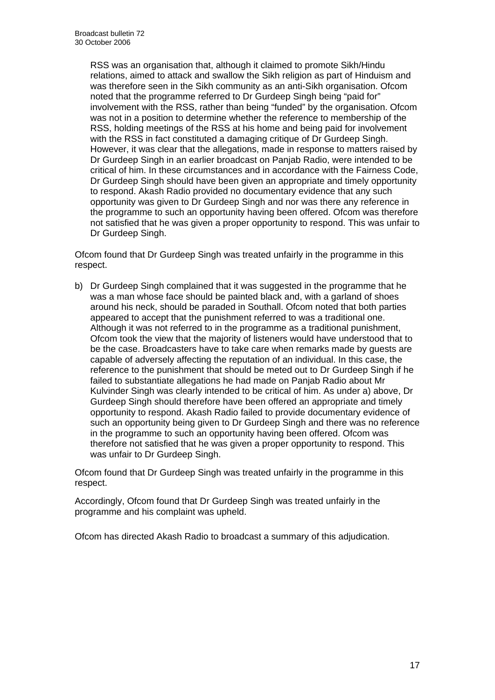RSS was an organisation that, although it claimed to promote Sikh/Hindu relations, aimed to attack and swallow the Sikh religion as part of Hinduism and was therefore seen in the Sikh community as an anti-Sikh organisation. Ofcom noted that the programme referred to Dr Gurdeep Singh being "paid for" involvement with the RSS, rather than being "funded" by the organisation. Ofcom was not in a position to determine whether the reference to membership of the RSS, holding meetings of the RSS at his home and being paid for involvement with the RSS in fact constituted a damaging critique of Dr Gurdeep Singh. However, it was clear that the allegations, made in response to matters raised by Dr Gurdeep Singh in an earlier broadcast on Panjab Radio, were intended to be critical of him. In these circumstances and in accordance with the Fairness Code, Dr Gurdeep Singh should have been given an appropriate and timely opportunity to respond. Akash Radio provided no documentary evidence that any such opportunity was given to Dr Gurdeep Singh and nor was there any reference in the programme to such an opportunity having been offered. Ofcom was therefore not satisfied that he was given a proper opportunity to respond. This was unfair to Dr Gurdeep Singh.

Ofcom found that Dr Gurdeep Singh was treated unfairly in the programme in this respect.

b) Dr Gurdeep Singh complained that it was suggested in the programme that he was a man whose face should be painted black and, with a garland of shoes around his neck, should be paraded in Southall. Ofcom noted that both parties appeared to accept that the punishment referred to was a traditional one. Although it was not referred to in the programme as a traditional punishment, Ofcom took the view that the majority of listeners would have understood that to be the case. Broadcasters have to take care when remarks made by guests are capable of adversely affecting the reputation of an individual. In this case, the reference to the punishment that should be meted out to Dr Gurdeep Singh if he failed to substantiate allegations he had made on Panjab Radio about Mr Kulvinder Singh was clearly intended to be critical of him. As under a) above, Dr Gurdeep Singh should therefore have been offered an appropriate and timely opportunity to respond. Akash Radio failed to provide documentary evidence of such an opportunity being given to Dr Gurdeep Singh and there was no reference in the programme to such an opportunity having been offered. Ofcom was therefore not satisfied that he was given a proper opportunity to respond. This was unfair to Dr Gurdeep Singh.

Ofcom found that Dr Gurdeep Singh was treated unfairly in the programme in this respect.

Accordingly, Ofcom found that Dr Gurdeep Singh was treated unfairly in the programme and his complaint was upheld.

Ofcom has directed Akash Radio to broadcast a summary of this adjudication.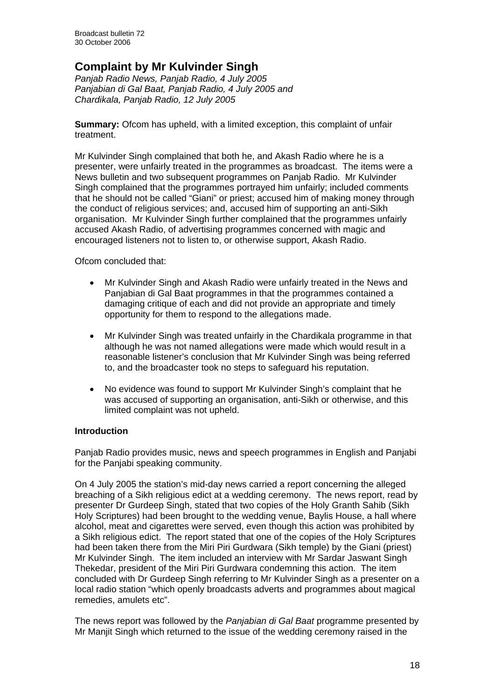## **Complaint by Mr Kulvinder Singh**

*Panjab Radio News, Panjab Radio, 4 July 2005 Panjabian di Gal Baat, Panjab Radio, 4 July 2005 and Chardikala, Panjab Radio, 12 July 2005* 

**Summary:** Ofcom has upheld, with a limited exception, this complaint of unfair treatment.

Mr Kulvinder Singh complained that both he, and Akash Radio where he is a presenter, were unfairly treated in the programmes as broadcast. The items were a News bulletin and two subsequent programmes on Panjab Radio. Mr Kulvinder Singh complained that the programmes portrayed him unfairly; included comments that he should not be called "Giani" or priest; accused him of making money through the conduct of religious services; and, accused him of supporting an anti-Sikh organisation. Mr Kulvinder Singh further complained that the programmes unfairly accused Akash Radio, of advertising programmes concerned with magic and encouraged listeners not to listen to, or otherwise support, Akash Radio.

Ofcom concluded that:

- Mr Kulvinder Singh and Akash Radio were unfairly treated in the News and Panjabian di Gal Baat programmes in that the programmes contained a damaging critique of each and did not provide an appropriate and timely opportunity for them to respond to the allegations made.
- Mr Kulvinder Singh was treated unfairly in the Chardikala programme in that although he was not named allegations were made which would result in a reasonable listener's conclusion that Mr Kulvinder Singh was being referred to, and the broadcaster took no steps to safeguard his reputation.
- No evidence was found to support Mr Kulvinder Singh's complaint that he was accused of supporting an organisation, anti-Sikh or otherwise, and this limited complaint was not upheld.

#### **Introduction**

Panjab Radio provides music, news and speech programmes in English and Panjabi for the Panjabi speaking community.

On 4 July 2005 the station's mid-day news carried a report concerning the alleged breaching of a Sikh religious edict at a wedding ceremony. The news report, read by presenter Dr Gurdeep Singh, stated that two copies of the Holy Granth Sahib (Sikh Holy Scriptures) had been brought to the wedding venue, Baylis House, a hall where alcohol, meat and cigarettes were served, even though this action was prohibited by a Sikh religious edict. The report stated that one of the copies of the Holy Scriptures had been taken there from the Miri Piri Gurdwara (Sikh temple) by the Giani (priest) Mr Kulvinder Singh. The item included an interview with Mr Sardar Jaswant Singh Thekedar, president of the Miri Piri Gurdwara condemning this action. The item concluded with Dr Gurdeep Singh referring to Mr Kulvinder Singh as a presenter on a local radio station "which openly broadcasts adverts and programmes about magical remedies, amulets etc".

The news report was followed by the *Panjabian di Gal Baat* programme presented by Mr Manjit Singh which returned to the issue of the wedding ceremony raised in the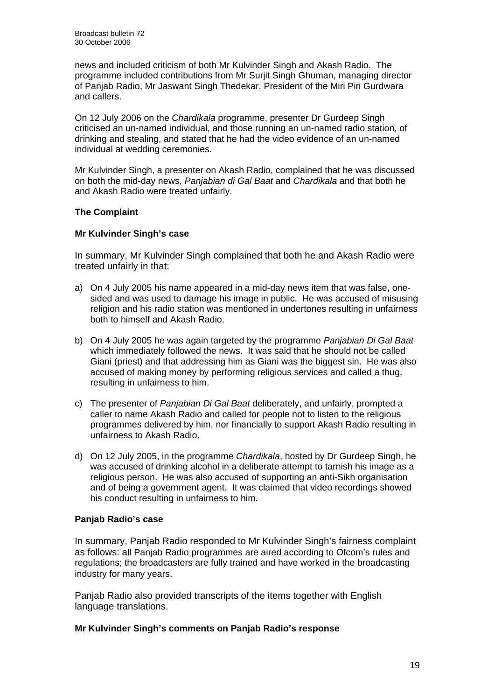news and included criticism of both Mr Kulvinder Singh and Akash Radio. The programme included contributions from Mr Surjit Singh Ghuman, managing director of Panjab Radio, Mr Jaswant Singh Thedekar, President of the Miri Piri Gurdwara and callers.

On 12 July 2006 on the *Chardikala* programme, presenter Dr Gurdeep Singh criticised an un-named individual, and those running an un-named radio station, of drinking and stealing, and stated that he had the video evidence of an un-named individual at wedding ceremonies.

Mr Kulvinder Singh, a presenter on Akash Radio, complained that he was discussed on both the mid-day news, *Panjabian di Gal Baat* and *Chardikala* and that both he and Akash Radio were treated unfairly.

#### **The Complaint**

#### **Mr Kulvinder Singh's case**

In summary, Mr Kulvinder Singh complained that both he and Akash Radio were treated unfairly in that:

- a) On 4 July 2005 his name appeared in a mid-day news item that was false, onesided and was used to damage his image in public. He was accused of misusing religion and his radio station was mentioned in undertones resulting in unfairness both to himself and Akash Radio.
- b) On 4 July 2005 he was again targeted by the programme *Panjabian Di Gal Baat* which immediately followed the news. It was said that he should not be called Giani (priest) and that addressing him as Giani was the biggest sin. He was also accused of making money by performing religious services and called a thug, resulting in unfairness to him.
- c) The presenter of *Panjabian Di Gal Baat* deliberately, and unfairly, prompted a caller to name Akash Radio and called for people not to listen to the religious programmes delivered by him, nor financially to support Akash Radio resulting in unfairness to Akash Radio.
- d) On 12 July 2005, in the programme *Chardikala*, hosted by Dr Gurdeep Singh, he was accused of drinking alcohol in a deliberate attempt to tarnish his image as a religious person. He was also accused of supporting an anti-Sikh organisation and of being a government agent. It was claimed that video recordings showed his conduct resulting in unfairness to him.

#### **Panjab Radio's case**

In summary, Panjab Radio responded to Mr Kulvinder Singh's fairness complaint as follows: all Panjab Radio programmes are aired according to Ofcom's rules and regulations; the broadcasters are fully trained and have worked in the broadcasting industry for many years.

Panjab Radio also provided transcripts of the items together with English language translations.

#### **Mr Kulvinder Singh's comments on Panjab Radio's response**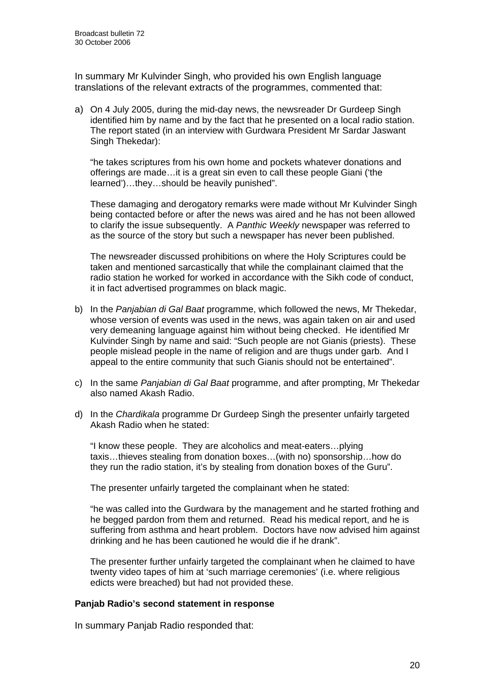In summary Mr Kulvinder Singh, who provided his own English language translations of the relevant extracts of the programmes, commented that:

a) On 4 July 2005, during the mid-day news, the newsreader Dr Gurdeep Singh identified him by name and by the fact that he presented on a local radio station. The report stated (in an interview with Gurdwara President Mr Sardar Jaswant Singh Thekedar):

"he takes scriptures from his own home and pockets whatever donations and offerings are made…it is a great sin even to call these people Giani ('the learned')…they…should be heavily punished".

These damaging and derogatory remarks were made without Mr Kulvinder Singh being contacted before or after the news was aired and he has not been allowed to clarify the issue subsequently. A *Panthic Weekly* newspaper was referred to as the source of the story but such a newspaper has never been published.

The newsreader discussed prohibitions on where the Holy Scriptures could be taken and mentioned sarcastically that while the complainant claimed that the radio station he worked for worked in accordance with the Sikh code of conduct, it in fact advertised programmes on black magic.

- b) In the *Panjabian di Gal Baat* programme, which followed the news, Mr Thekedar, whose version of events was used in the news, was again taken on air and used very demeaning language against him without being checked. He identified Mr Kulvinder Singh by name and said: "Such people are not Gianis (priests). These people mislead people in the name of religion and are thugs under garb. And I appeal to the entire community that such Gianis should not be entertained".
- c) In the same *Panjabian di Gal Baat* programme, and after prompting, Mr Thekedar also named Akash Radio.
- d) In the *Chardikala* programme Dr Gurdeep Singh the presenter unfairly targeted Akash Radio when he stated:

"I know these people. They are alcoholics and meat-eaters…plying taxis…thieves stealing from donation boxes…(with no) sponsorship…how do they run the radio station, it's by stealing from donation boxes of the Guru".

The presenter unfairly targeted the complainant when he stated:

"he was called into the Gurdwara by the management and he started frothing and he begged pardon from them and returned. Read his medical report, and he is suffering from asthma and heart problem. Doctors have now advised him against drinking and he has been cautioned he would die if he drank".

The presenter further unfairly targeted the complainant when he claimed to have twenty video tapes of him at 'such marriage ceremonies' (i.e. where religious edicts were breached) but had not provided these.

#### **Panjab Radio's second statement in response**

In summary Panjab Radio responded that: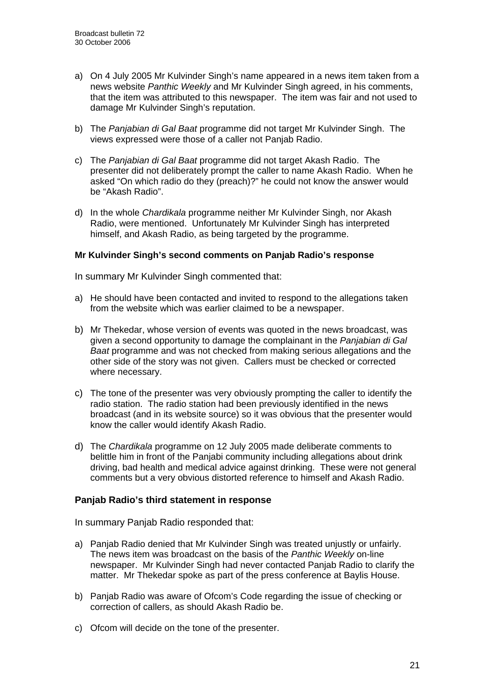- a) On 4 July 2005 Mr Kulvinder Singh's name appeared in a news item taken from a news website *Panthic Weekly* and Mr Kulvinder Singh agreed, in his comments, that the item was attributed to this newspaper. The item was fair and not used to damage Mr Kulvinder Singh's reputation.
- b) The *Panjabian di Gal Baat* programme did not target Mr Kulvinder Singh. The views expressed were those of a caller not Panjab Radio.
- c) The *Panjabian di Gal Baat* programme did not target Akash Radio. The presenter did not deliberately prompt the caller to name Akash Radio. When he asked "On which radio do they (preach)?" he could not know the answer would be "Akash Radio".
- d) In the whole *Chardikala* programme neither Mr Kulvinder Singh, nor Akash Radio, were mentioned. Unfortunately Mr Kulvinder Singh has interpreted himself, and Akash Radio, as being targeted by the programme.

#### **Mr Kulvinder Singh's second comments on Panjab Radio's response**

In summary Mr Kulvinder Singh commented that:

- a) He should have been contacted and invited to respond to the allegations taken from the website which was earlier claimed to be a newspaper.
- b) Mr Thekedar, whose version of events was quoted in the news broadcast, was given a second opportunity to damage the complainant in the *Panjabian di Gal Baat* programme and was not checked from making serious allegations and the other side of the story was not given. Callers must be checked or corrected where necessary.
- c) The tone of the presenter was very obviously prompting the caller to identify the radio station. The radio station had been previously identified in the news broadcast (and in its website source) so it was obvious that the presenter would know the caller would identify Akash Radio.
- d) The *Chardikala* programme on 12 July 2005 made deliberate comments to belittle him in front of the Panjabi community including allegations about drink driving, bad health and medical advice against drinking. These were not general comments but a very obvious distorted reference to himself and Akash Radio.

#### **Panjab Radio's third statement in response**

In summary Panjab Radio responded that:

- a) Panjab Radio denied that Mr Kulvinder Singh was treated unjustly or unfairly. The news item was broadcast on the basis of the *Panthic Weekly* on-line newspaper. Mr Kulvinder Singh had never contacted Panjab Radio to clarify the matter. Mr Thekedar spoke as part of the press conference at Baylis House.
- b) Panjab Radio was aware of Ofcom's Code regarding the issue of checking or correction of callers, as should Akash Radio be.
- c) Ofcom will decide on the tone of the presenter.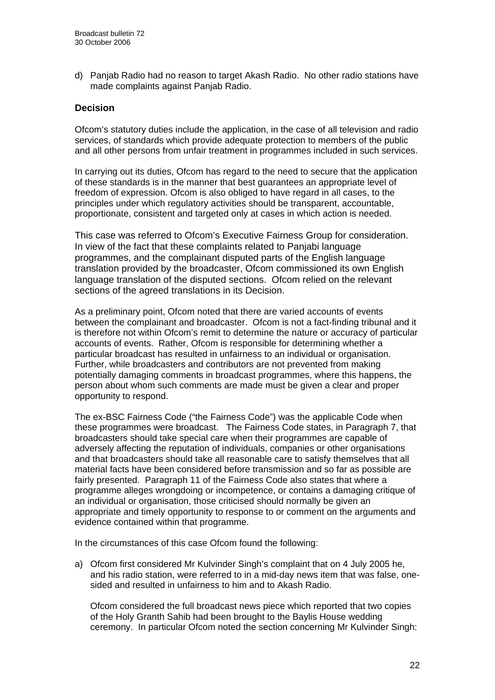d) Panjab Radio had no reason to target Akash Radio. No other radio stations have made complaints against Panjab Radio.

#### **Decision**

Ofcom's statutory duties include the application, in the case of all television and radio services, of standards which provide adequate protection to members of the public and all other persons from unfair treatment in programmes included in such services.

In carrying out its duties, Ofcom has regard to the need to secure that the application of these standards is in the manner that best guarantees an appropriate level of freedom of expression. Ofcom is also obliged to have regard in all cases, to the principles under which regulatory activities should be transparent, accountable, proportionate, consistent and targeted only at cases in which action is needed.

This case was referred to Ofcom's Executive Fairness Group for consideration. In view of the fact that these complaints related to Panjabi language programmes, and the complainant disputed parts of the English language translation provided by the broadcaster, Ofcom commissioned its own English language translation of the disputed sections. Ofcom relied on the relevant sections of the agreed translations in its Decision.

As a preliminary point, Ofcom noted that there are varied accounts of events between the complainant and broadcaster. Ofcom is not a fact-finding tribunal and it is therefore not within Ofcom's remit to determine the nature or accuracy of particular accounts of events. Rather, Ofcom is responsible for determining whether a particular broadcast has resulted in unfairness to an individual or organisation. Further, while broadcasters and contributors are not prevented from making potentially damaging comments in broadcast programmes, where this happens, the person about whom such comments are made must be given a clear and proper opportunity to respond.

The ex-BSC Fairness Code ("the Fairness Code") was the applicable Code when these programmes were broadcast. The Fairness Code states, in Paragraph 7, that broadcasters should take special care when their programmes are capable of adversely affecting the reputation of individuals, companies or other organisations and that broadcasters should take all reasonable care to satisfy themselves that all material facts have been considered before transmission and so far as possible are fairly presented. Paragraph 11 of the Fairness Code also states that where a programme alleges wrongdoing or incompetence, or contains a damaging critique of an individual or organisation, those criticised should normally be given an appropriate and timely opportunity to response to or comment on the arguments and evidence contained within that programme.

In the circumstances of this case Ofcom found the following:

a) Ofcom first considered Mr Kulvinder Singh's complaint that on 4 July 2005 he, and his radio station, were referred to in a mid-day news item that was false, onesided and resulted in unfairness to him and to Akash Radio.

Ofcom considered the full broadcast news piece which reported that two copies of the Holy Granth Sahib had been brought to the Baylis House wedding ceremony. In particular Ofcom noted the section concerning Mr Kulvinder Singh: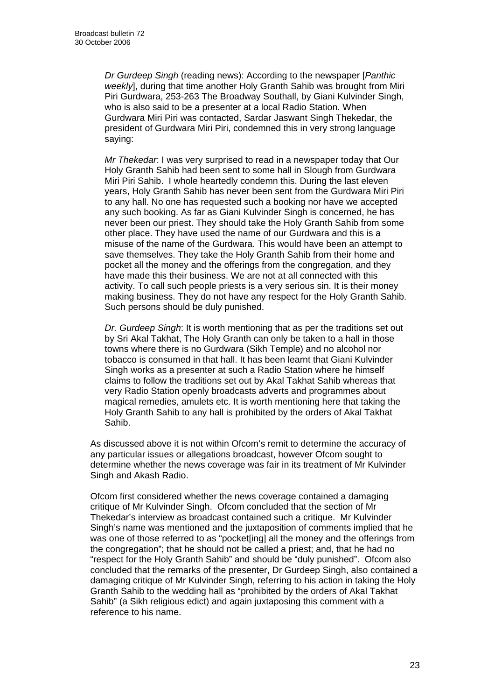*Dr Gurdeep Singh* (reading news): According to the newspaper [*Panthic weekly*], during that time another Holy Granth Sahib was brought from Miri Piri Gurdwara, 253-263 The Broadway Southall, by Giani Kulvinder Singh, who is also said to be a presenter at a local Radio Station. When Gurdwara Miri Piri was contacted, Sardar Jaswant Singh Thekedar, the president of Gurdwara Miri Piri, condemned this in very strong language saying:

*Mr Thekedar*: I was very surprised to read in a newspaper today that Our Holy Granth Sahib had been sent to some hall in Slough from Gurdwara Miri Piri Sahib. I whole heartedly condemn this. During the last eleven years, Holy Granth Sahib has never been sent from the Gurdwara Miri Piri to any hall. No one has requested such a booking nor have we accepted any such booking. As far as Giani Kulvinder Singh is concerned, he has never been our priest. They should take the Holy Granth Sahib from some other place. They have used the name of our Gurdwara and this is a misuse of the name of the Gurdwara. This would have been an attempt to save themselves. They take the Holy Granth Sahib from their home and pocket all the money and the offerings from the congregation, and they have made this their business. We are not at all connected with this activity. To call such people priests is a very serious sin. It is their money making business. They do not have any respect for the Holy Granth Sahib. Such persons should be duly punished.

*Dr. Gurdeep Singh*: It is worth mentioning that as per the traditions set out by Sri Akal Takhat, The Holy Granth can only be taken to a hall in those towns where there is no Gurdwara (Sikh Temple) and no alcohol nor tobacco is consumed in that hall. It has been learnt that Giani Kulvinder Singh works as a presenter at such a Radio Station where he himself claims to follow the traditions set out by Akal Takhat Sahib whereas that very Radio Station openly broadcasts adverts and programmes about magical remedies, amulets etc. It is worth mentioning here that taking the Holy Granth Sahib to any hall is prohibited by the orders of Akal Takhat Sahib.

As discussed above it is not within Ofcom's remit to determine the accuracy of any particular issues or allegations broadcast, however Ofcom sought to determine whether the news coverage was fair in its treatment of Mr Kulvinder Singh and Akash Radio.

Ofcom first considered whether the news coverage contained a damaging critique of Mr Kulvinder Singh. Ofcom concluded that the section of Mr Thekedar's interview as broadcast contained such a critique. Mr Kulvinder Singh's name was mentioned and the juxtaposition of comments implied that he was one of those referred to as "pocket[ing] all the money and the offerings from the congregation"; that he should not be called a priest; and, that he had no "respect for the Holy Granth Sahib" and should be "duly punished". Ofcom also concluded that the remarks of the presenter, Dr Gurdeep Singh, also contained a damaging critique of Mr Kulvinder Singh, referring to his action in taking the Holy Granth Sahib to the wedding hall as "prohibited by the orders of Akal Takhat Sahib" (a Sikh religious edict) and again juxtaposing this comment with a reference to his name.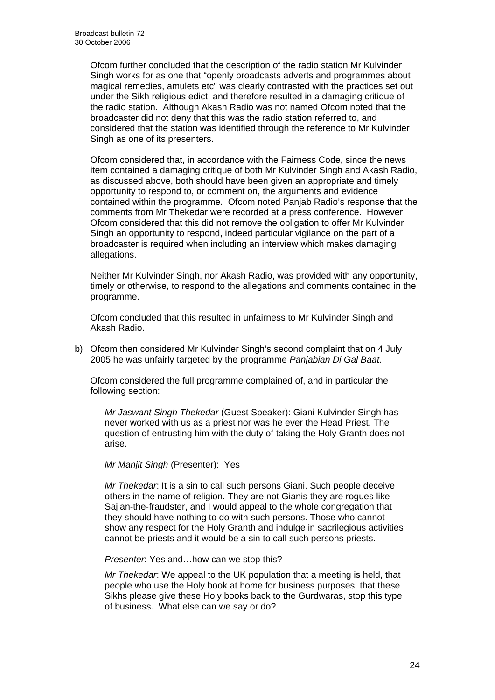Ofcom further concluded that the description of the radio station Mr Kulvinder Singh works for as one that "openly broadcasts adverts and programmes about magical remedies, amulets etc" was clearly contrasted with the practices set out under the Sikh religious edict, and therefore resulted in a damaging critique of the radio station. Although Akash Radio was not named Ofcom noted that the broadcaster did not deny that this was the radio station referred to, and considered that the station was identified through the reference to Mr Kulvinder Singh as one of its presenters.

Ofcom considered that, in accordance with the Fairness Code, since the news item contained a damaging critique of both Mr Kulvinder Singh and Akash Radio, as discussed above, both should have been given an appropriate and timely opportunity to respond to, or comment on, the arguments and evidence contained within the programme. Ofcom noted Panjab Radio's response that the comments from Mr Thekedar were recorded at a press conference. However Ofcom considered that this did not remove the obligation to offer Mr Kulvinder Singh an opportunity to respond, indeed particular vigilance on the part of a broadcaster is required when including an interview which makes damaging allegations.

Neither Mr Kulvinder Singh, nor Akash Radio, was provided with any opportunity, timely or otherwise, to respond to the allegations and comments contained in the programme.

Ofcom concluded that this resulted in unfairness to Mr Kulvinder Singh and Akash Radio.

b) Ofcom then considered Mr Kulvinder Singh's second complaint that on 4 July 2005 he was unfairly targeted by the programme *Panjabian Di Gal Baat.*

Ofcom considered the full programme complained of, and in particular the following section:

*Mr Jaswant Singh Thekedar* (Guest Speaker): Giani Kulvinder Singh has never worked with us as a priest nor was he ever the Head Priest. The question of entrusting him with the duty of taking the Holy Granth does not arise.

#### *Mr Manjit Singh* (Presenter): Yes

*Mr Thekedar*: It is a sin to call such persons Giani. Such people deceive others in the name of religion. They are not Gianis they are rogues like Sajjan-the-fraudster, and I would appeal to the whole congregation that they should have nothing to do with such persons. Those who cannot show any respect for the Holy Granth and indulge in sacrilegious activities cannot be priests and it would be a sin to call such persons priests.

*Presenter*: Yes and…how can we stop this?

*Mr Thekedar*: We appeal to the UK population that a meeting is held, that people who use the Holy book at home for business purposes, that these Sikhs please give these Holy books back to the Gurdwaras, stop this type of business. What else can we say or do?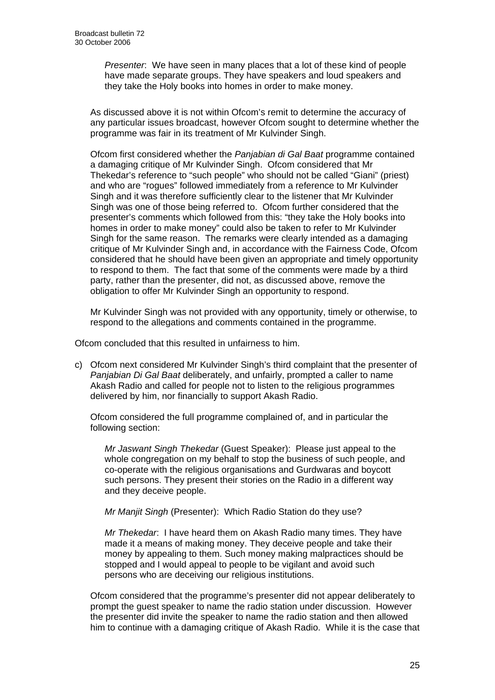*Presenter*: We have seen in many places that a lot of these kind of people have made separate groups. They have speakers and loud speakers and they take the Holy books into homes in order to make money.

As discussed above it is not within Ofcom's remit to determine the accuracy of any particular issues broadcast, however Ofcom sought to determine whether the programme was fair in its treatment of Mr Kulvinder Singh.

Ofcom first considered whether the *Panjabian di Gal Baat* programme contained a damaging critique of Mr Kulvinder Singh. Ofcom considered that Mr Thekedar's reference to "such people" who should not be called "Giani" (priest) and who are "rogues" followed immediately from a reference to Mr Kulvinder Singh and it was therefore sufficiently clear to the listener that Mr Kulvinder Singh was one of those being referred to. Ofcom further considered that the presenter's comments which followed from this: "they take the Holy books into homes in order to make money" could also be taken to refer to Mr Kulvinder Singh for the same reason. The remarks were clearly intended as a damaging critique of Mr Kulvinder Singh and, in accordance with the Fairness Code, Ofcom considered that he should have been given an appropriate and timely opportunity to respond to them. The fact that some of the comments were made by a third party, rather than the presenter, did not, as discussed above, remove the obligation to offer Mr Kulvinder Singh an opportunity to respond.

Mr Kulvinder Singh was not provided with any opportunity, timely or otherwise, to respond to the allegations and comments contained in the programme.

Ofcom concluded that this resulted in unfairness to him.

c) Ofcom next considered Mr Kulvinder Singh's third complaint that the presenter of *Panjabian Di Gal Baat* deliberately, and unfairly, prompted a caller to name Akash Radio and called for people not to listen to the religious programmes delivered by him, nor financially to support Akash Radio.

Ofcom considered the full programme complained of, and in particular the following section:

*Mr Jaswant Singh Thekedar* (Guest Speaker): Please just appeal to the whole congregation on my behalf to stop the business of such people, and co-operate with the religious organisations and Gurdwaras and boycott such persons. They present their stories on the Radio in a different way and they deceive people.

*Mr Manjit Singh* (Presenter): Which Radio Station do they use?

*Mr Thekedar*: I have heard them on Akash Radio many times. They have made it a means of making money. They deceive people and take their money by appealing to them. Such money making malpractices should be stopped and I would appeal to people to be vigilant and avoid such persons who are deceiving our religious institutions.

Ofcom considered that the programme's presenter did not appear deliberately to prompt the guest speaker to name the radio station under discussion. However the presenter did invite the speaker to name the radio station and then allowed him to continue with a damaging critique of Akash Radio. While it is the case that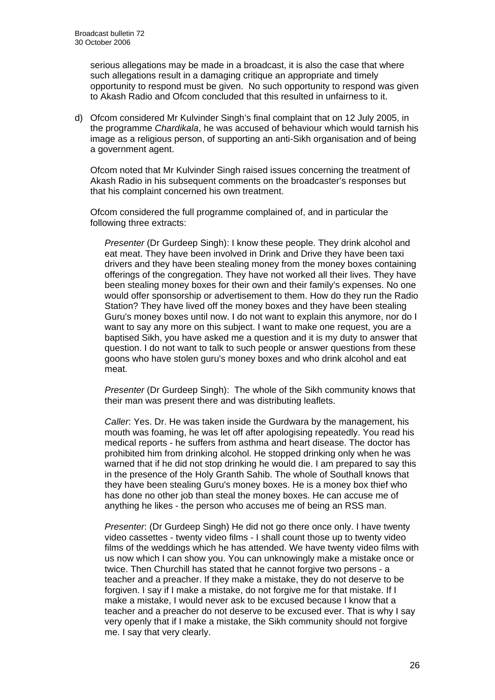serious allegations may be made in a broadcast, it is also the case that where such allegations result in a damaging critique an appropriate and timely opportunity to respond must be given. No such opportunity to respond was given to Akash Radio and Ofcom concluded that this resulted in unfairness to it.

d) Ofcom considered Mr Kulvinder Singh's final complaint that on 12 July 2005, in the programme *Chardikala*, he was accused of behaviour which would tarnish his image as a religious person, of supporting an anti-Sikh organisation and of being a government agent.

Ofcom noted that Mr Kulvinder Singh raised issues concerning the treatment of Akash Radio in his subsequent comments on the broadcaster's responses but that his complaint concerned his own treatment.

Ofcom considered the full programme complained of, and in particular the following three extracts:

*Presenter* (Dr Gurdeep Singh): I know these people. They drink alcohol and eat meat. They have been involved in Drink and Drive they have been taxi drivers and they have been stealing money from the money boxes containing offerings of the congregation. They have not worked all their lives. They have been stealing money boxes for their own and their family's expenses. No one would offer sponsorship or advertisement to them. How do they run the Radio Station? They have lived off the money boxes and they have been stealing Guru's money boxes until now. I do not want to explain this anymore, nor do I want to say any more on this subject. I want to make one request, you are a baptised Sikh, you have asked me a question and it is my duty to answer that question. I do not want to talk to such people or answer questions from these goons who have stolen guru's money boxes and who drink alcohol and eat meat.

*Presenter* (Dr Gurdeep Singh): The whole of the Sikh community knows that their man was present there and was distributing leaflets.

*Caller*: Yes. Dr. He was taken inside the Gurdwara by the management, his mouth was foaming, he was let off after apologising repeatedly. You read his medical reports - he suffers from asthma and heart disease. The doctor has prohibited him from drinking alcohol. He stopped drinking only when he was warned that if he did not stop drinking he would die. I am prepared to say this in the presence of the Holy Granth Sahib. The whole of Southall knows that they have been stealing Guru's money boxes. He is a money box thief who has done no other job than steal the money boxes. He can accuse me of anything he likes - the person who accuses me of being an RSS man.

*Presenter*: (Dr Gurdeep Singh) He did not go there once only. I have twenty video cassettes - twenty video films - I shall count those up to twenty video films of the weddings which he has attended. We have twenty video films with us now which I can show you. You can unknowingly make a mistake once or twice. Then Churchill has stated that he cannot forgive two persons - a teacher and a preacher. If they make a mistake, they do not deserve to be forgiven. I say if I make a mistake, do not forgive me for that mistake. If I make a mistake, I would never ask to be excused because I know that a teacher and a preacher do not deserve to be excused ever. That is why I say very openly that if I make a mistake, the Sikh community should not forgive me. I say that very clearly.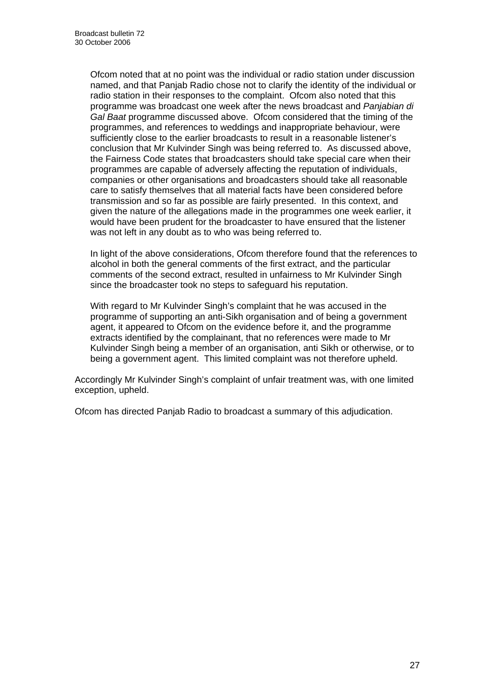Ofcom noted that at no point was the individual or radio station under discussion named, and that Panjab Radio chose not to clarify the identity of the individual or radio station in their responses to the complaint. Ofcom also noted that this programme was broadcast one week after the news broadcast and *Panjabian di Gal Baat* programme discussed above. Ofcom considered that the timing of the programmes, and references to weddings and inappropriate behaviour, were sufficiently close to the earlier broadcasts to result in a reasonable listener's conclusion that Mr Kulvinder Singh was being referred to. As discussed above, the Fairness Code states that broadcasters should take special care when their programmes are capable of adversely affecting the reputation of individuals, companies or other organisations and broadcasters should take all reasonable care to satisfy themselves that all material facts have been considered before transmission and so far as possible are fairly presented. In this context, and given the nature of the allegations made in the programmes one week earlier, it would have been prudent for the broadcaster to have ensured that the listener was not left in any doubt as to who was being referred to.

In light of the above considerations, Ofcom therefore found that the references to alcohol in both the general comments of the first extract, and the particular comments of the second extract, resulted in unfairness to Mr Kulvinder Singh since the broadcaster took no steps to safeguard his reputation.

With regard to Mr Kulvinder Singh's complaint that he was accused in the programme of supporting an anti-Sikh organisation and of being a government agent, it appeared to Ofcom on the evidence before it, and the programme extracts identified by the complainant, that no references were made to Mr Kulvinder Singh being a member of an organisation, anti Sikh or otherwise, or to being a government agent. This limited complaint was not therefore upheld.

Accordingly Mr Kulvinder Singh's complaint of unfair treatment was, with one limited exception, upheld.

Ofcom has directed Panjab Radio to broadcast a summary of this adjudication.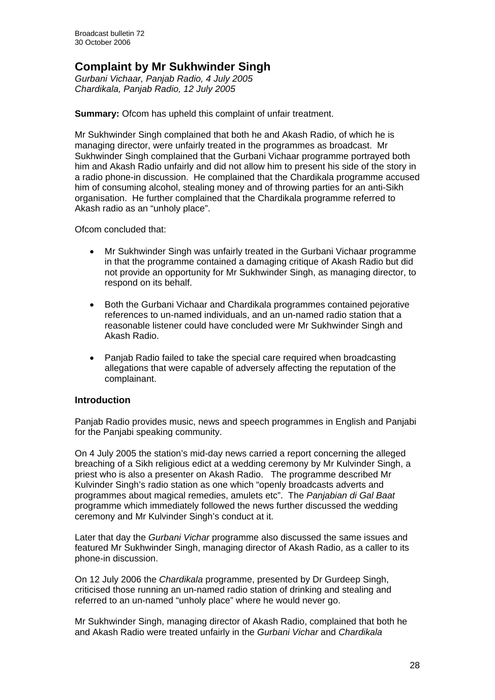## **Complaint by Mr Sukhwinder Singh**

*Gurbani Vichaar, Panjab Radio, 4 July 2005 Chardikala, Panjab Radio, 12 July 2005* 

**Summary:** Ofcom has upheld this complaint of unfair treatment.

Mr Sukhwinder Singh complained that both he and Akash Radio, of which he is managing director, were unfairly treated in the programmes as broadcast. Mr Sukhwinder Singh complained that the Gurbani Vichaar programme portrayed both him and Akash Radio unfairly and did not allow him to present his side of the story in a radio phone-in discussion. He complained that the Chardikala programme accused him of consuming alcohol, stealing money and of throwing parties for an anti-Sikh organisation. He further complained that the Chardikala programme referred to Akash radio as an "unholy place".

Ofcom concluded that:

- Mr Sukhwinder Singh was unfairly treated in the Gurbani Vichaar programme in that the programme contained a damaging critique of Akash Radio but did not provide an opportunity for Mr Sukhwinder Singh, as managing director, to respond on its behalf.
- Both the Gurbani Vichaar and Chardikala programmes contained pejorative references to un-named individuals, and an un-named radio station that a reasonable listener could have concluded were Mr Sukhwinder Singh and Akash Radio.
- Panjab Radio failed to take the special care required when broadcasting allegations that were capable of adversely affecting the reputation of the complainant.

#### **Introduction**

Panjab Radio provides music, news and speech programmes in English and Panjabi for the Panjabi speaking community.

On 4 July 2005 the station's mid-day news carried a report concerning the alleged breaching of a Sikh religious edict at a wedding ceremony by Mr Kulvinder Singh, a priest who is also a presenter on Akash Radio. The programme described Mr Kulvinder Singh's radio station as one which "openly broadcasts adverts and programmes about magical remedies, amulets etc". The *Panjabian di Gal Baat* programme which immediately followed the news further discussed the wedding ceremony and Mr Kulvinder Singh's conduct at it.

Later that day the *Gurbani Vichar* programme also discussed the same issues and featured Mr Sukhwinder Singh, managing director of Akash Radio, as a caller to its phone-in discussion.

On 12 July 2006 the *Chardikala* programme, presented by Dr Gurdeep Singh, criticised those running an un-named radio station of drinking and stealing and referred to an un-named "unholy place" where he would never go.

Mr Sukhwinder Singh, managing director of Akash Radio, complained that both he and Akash Radio were treated unfairly in the *Gurbani Vichar* and *Chardikala*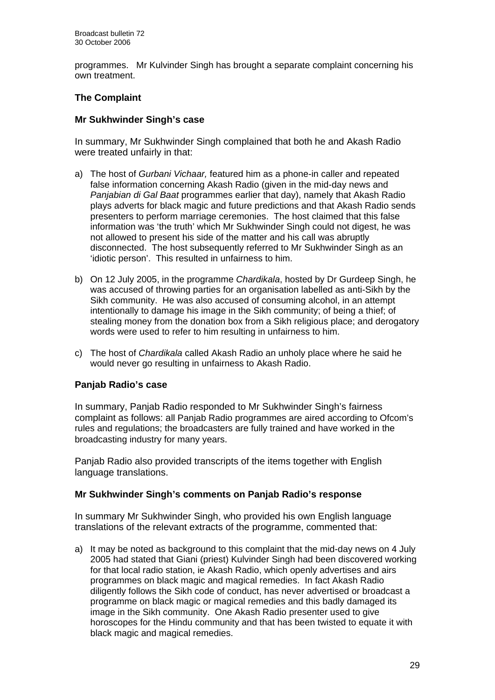programmes. Mr Kulvinder Singh has brought a separate complaint concerning his own treatment.

#### **The Complaint**

#### **Mr Sukhwinder Singh's case**

In summary, Mr Sukhwinder Singh complained that both he and Akash Radio were treated unfairly in that:

- a) The host of *Gurbani Vichaar,* featured him as a phone-in caller and repeated false information concerning Akash Radio (given in the mid-day news and *Panjabian di Gal Baat* programmes earlier that day), namely that Akash Radio plays adverts for black magic and future predictions and that Akash Radio sends presenters to perform marriage ceremonies. The host claimed that this false information was 'the truth' which Mr Sukhwinder Singh could not digest, he was not allowed to present his side of the matter and his call was abruptly disconnected. The host subsequently referred to Mr Sukhwinder Singh as an 'idiotic person'. This resulted in unfairness to him.
- b) On 12 July 2005, in the programme *Chardikala*, hosted by Dr Gurdeep Singh, he was accused of throwing parties for an organisation labelled as anti-Sikh by the Sikh community. He was also accused of consuming alcohol, in an attempt intentionally to damage his image in the Sikh community; of being a thief; of stealing money from the donation box from a Sikh religious place; and derogatory words were used to refer to him resulting in unfairness to him.
- c) The host of *Chardikala* called Akash Radio an unholy place where he said he would never go resulting in unfairness to Akash Radio.

#### **Panjab Radio's case**

In summary, Panjab Radio responded to Mr Sukhwinder Singh's fairness complaint as follows: all Panjab Radio programmes are aired according to Ofcom's rules and regulations; the broadcasters are fully trained and have worked in the broadcasting industry for many years.

Panjab Radio also provided transcripts of the items together with English language translations.

#### **Mr Sukhwinder Singh's comments on Panjab Radio's response**

In summary Mr Sukhwinder Singh, who provided his own English language translations of the relevant extracts of the programme, commented that:

a) It may be noted as background to this complaint that the mid-day news on 4 July 2005 had stated that Giani (priest) Kulvinder Singh had been discovered working for that local radio station, ie Akash Radio, which openly advertises and airs programmes on black magic and magical remedies. In fact Akash Radio diligently follows the Sikh code of conduct, has never advertised or broadcast a programme on black magic or magical remedies and this badly damaged its image in the Sikh community. One Akash Radio presenter used to give horoscopes for the Hindu community and that has been twisted to equate it with black magic and magical remedies.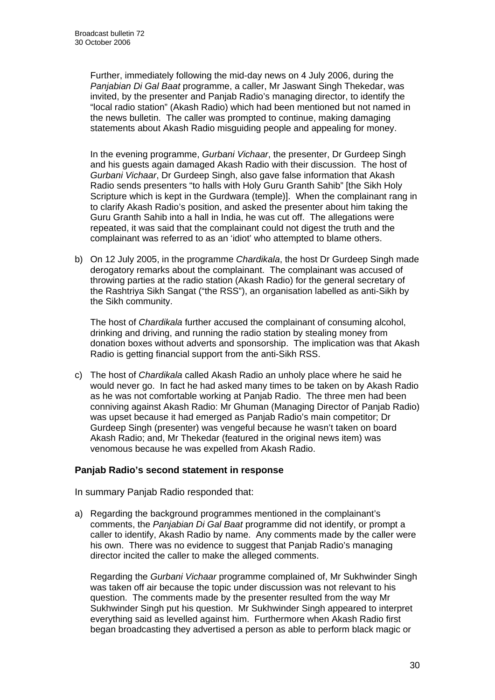Further, immediately following the mid-day news on 4 July 2006, during the *Panjabian Di Gal Baat* programme, a caller, Mr Jaswant Singh Thekedar, was invited, by the presenter and Panjab Radio's managing director, to identify the "local radio station" (Akash Radio) which had been mentioned but not named in the news bulletin. The caller was prompted to continue, making damaging statements about Akash Radio misguiding people and appealing for money.

In the evening programme, *Gurbani Vichaar*, the presenter, Dr Gurdeep Singh and his guests again damaged Akash Radio with their discussion. The host of *Gurbani Vichaar*, Dr Gurdeep Singh, also gave false information that Akash Radio sends presenters "to halls with Holy Guru Granth Sahib" [the Sikh Holy Scripture which is kept in the Gurdwara (temple)]. When the complainant rang in to clarify Akash Radio's position, and asked the presenter about him taking the Guru Granth Sahib into a hall in India, he was cut off. The allegations were repeated, it was said that the complainant could not digest the truth and the complainant was referred to as an 'idiot' who attempted to blame others.

b) On 12 July 2005, in the programme *Chardikala*, the host Dr Gurdeep Singh made derogatory remarks about the complainant. The complainant was accused of throwing parties at the radio station (Akash Radio) for the general secretary of the Rashtriya Sikh Sangat ("the RSS"), an organisation labelled as anti-Sikh by the Sikh community.

The host of *Chardikala* further accused the complainant of consuming alcohol, drinking and driving, and running the radio station by stealing money from donation boxes without adverts and sponsorship. The implication was that Akash Radio is getting financial support from the anti-Sikh RSS.

c) The host of *Chardikala* called Akash Radio an unholy place where he said he would never go. In fact he had asked many times to be taken on by Akash Radio as he was not comfortable working at Panjab Radio. The three men had been conniving against Akash Radio: Mr Ghuman (Managing Director of Panjab Radio) was upset because it had emerged as Panjab Radio's main competitor; Dr Gurdeep Singh (presenter) was vengeful because he wasn't taken on board Akash Radio; and, Mr Thekedar (featured in the original news item) was venomous because he was expelled from Akash Radio.

#### **Panjab Radio's second statement in response**

In summary Panjab Radio responded that:

a) Regarding the background programmes mentioned in the complainant's comments, the *Panjabian Di Gal Baat* programme did not identify, or prompt a caller to identify, Akash Radio by name. Any comments made by the caller were his own. There was no evidence to suggest that Panjab Radio's managing director incited the caller to make the alleged comments.

 Regarding the *Gurbani Vichaar* programme complained of, Mr Sukhwinder Singh was taken off air because the topic under discussion was not relevant to his question. The comments made by the presenter resulted from the way Mr Sukhwinder Singh put his question. Mr Sukhwinder Singh appeared to interpret everything said as levelled against him. Furthermore when Akash Radio first began broadcasting they advertised a person as able to perform black magic or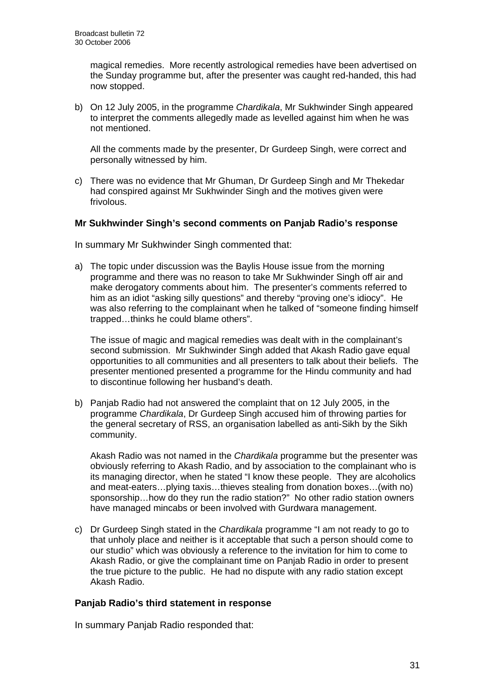magical remedies. More recently astrological remedies have been advertised on the Sunday programme but, after the presenter was caught red-handed, this had now stopped.

b) On 12 July 2005, in the programme *Chardikala*, Mr Sukhwinder Singh appeared to interpret the comments allegedly made as levelled against him when he was not mentioned.

All the comments made by the presenter, Dr Gurdeep Singh, were correct and personally witnessed by him.

c) There was no evidence that Mr Ghuman, Dr Gurdeep Singh and Mr Thekedar had conspired against Mr Sukhwinder Singh and the motives given were frivolous.

#### **Mr Sukhwinder Singh's second comments on Panjab Radio's response**

In summary Mr Sukhwinder Singh commented that:

a) The topic under discussion was the Baylis House issue from the morning programme and there was no reason to take Mr Sukhwinder Singh off air and make derogatory comments about him. The presenter's comments referred to him as an idiot "asking silly questions" and thereby "proving one's idiocy". He was also referring to the complainant when he talked of "someone finding himself trapped…thinks he could blame others".

 The issue of magic and magical remedies was dealt with in the complainant's second submission. Mr Sukhwinder Singh added that Akash Radio gave equal opportunities to all communities and all presenters to talk about their beliefs. The presenter mentioned presented a programme for the Hindu community and had to discontinue following her husband's death.

b) Panjab Radio had not answered the complaint that on 12 July 2005, in the programme *Chardikala*, Dr Gurdeep Singh accused him of throwing parties for the general secretary of RSS, an organisation labelled as anti-Sikh by the Sikh community.

Akash Radio was not named in the *Chardikala* programme but the presenter was obviously referring to Akash Radio, and by association to the complainant who is its managing director, when he stated "I know these people. They are alcoholics and meat-eaters…plying taxis…thieves stealing from donation boxes…(with no) sponsorship...how do they run the radio station?" No other radio station owners have managed mincabs or been involved with Gurdwara management.

c) Dr Gurdeep Singh stated in the *Chardikala* programme "I am not ready to go to that unholy place and neither is it acceptable that such a person should come to our studio" which was obviously a reference to the invitation for him to come to Akash Radio, or give the complainant time on Panjab Radio in order to present the true picture to the public. He had no dispute with any radio station except Akash Radio.

#### **Panjab Radio's third statement in response**

In summary Panjab Radio responded that: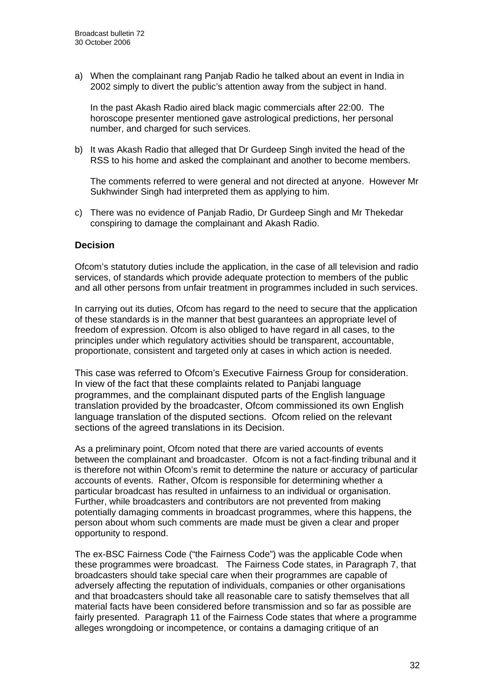a) When the complainant rang Panjab Radio he talked about an event in India in 2002 simply to divert the public's attention away from the subject in hand.

 In the past Akash Radio aired black magic commercials after 22:00. The horoscope presenter mentioned gave astrological predictions, her personal number, and charged for such services.

b) It was Akash Radio that alleged that Dr Gurdeep Singh invited the head of the RSS to his home and asked the complainant and another to become members.

The comments referred to were general and not directed at anyone. However Mr Sukhwinder Singh had interpreted them as applying to him.

c) There was no evidence of Panjab Radio, Dr Gurdeep Singh and Mr Thekedar conspiring to damage the complainant and Akash Radio.

#### **Decision**

Ofcom's statutory duties include the application, in the case of all television and radio services, of standards which provide adequate protection to members of the public and all other persons from unfair treatment in programmes included in such services.

In carrying out its duties, Ofcom has regard to the need to secure that the application of these standards is in the manner that best guarantees an appropriate level of freedom of expression. Ofcom is also obliged to have regard in all cases, to the principles under which regulatory activities should be transparent, accountable, proportionate, consistent and targeted only at cases in which action is needed.

This case was referred to Ofcom's Executive Fairness Group for consideration. In view of the fact that these complaints related to Panjabi language programmes, and the complainant disputed parts of the English language translation provided by the broadcaster, Ofcom commissioned its own English language translation of the disputed sections. Ofcom relied on the relevant sections of the agreed translations in its Decision.

As a preliminary point, Ofcom noted that there are varied accounts of events between the complainant and broadcaster. Ofcom is not a fact-finding tribunal and it is therefore not within Ofcom's remit to determine the nature or accuracy of particular accounts of events. Rather, Ofcom is responsible for determining whether a particular broadcast has resulted in unfairness to an individual or organisation. Further, while broadcasters and contributors are not prevented from making potentially damaging comments in broadcast programmes, where this happens, the person about whom such comments are made must be given a clear and proper opportunity to respond.

The ex-BSC Fairness Code ("the Fairness Code") was the applicable Code when these programmes were broadcast. The Fairness Code states, in Paragraph 7, that broadcasters should take special care when their programmes are capable of adversely affecting the reputation of individuals, companies or other organisations and that broadcasters should take all reasonable care to satisfy themselves that all material facts have been considered before transmission and so far as possible are fairly presented. Paragraph 11 of the Fairness Code states that where a programme alleges wrongdoing or incompetence, or contains a damaging critique of an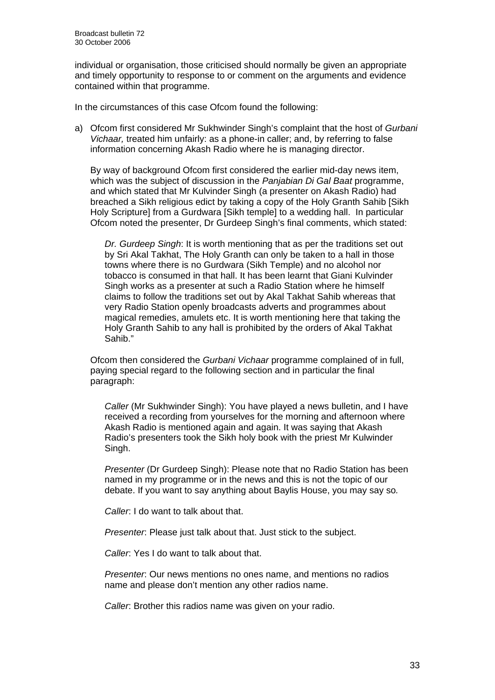individual or organisation, those criticised should normally be given an appropriate and timely opportunity to response to or comment on the arguments and evidence contained within that programme.

In the circumstances of this case Ofcom found the following:

a) Ofcom first considered Mr Sukhwinder Singh's complaint that the host of *Gurbani Vichaar,* treated him unfairly: as a phone-in caller; and, by referring to false information concerning Akash Radio where he is managing director.

By way of background Ofcom first considered the earlier mid-day news item. which was the subject of discussion in the *Panjabian Di Gal Baat* programme, and which stated that Mr Kulvinder Singh (a presenter on Akash Radio) had breached a Sikh religious edict by taking a copy of the Holy Granth Sahib [Sikh Holy Scripture] from a Gurdwara [Sikh temple] to a wedding hall. In particular Ofcom noted the presenter, Dr Gurdeep Singh's final comments, which stated:

*Dr. Gurdeep Singh*: It is worth mentioning that as per the traditions set out by Sri Akal Takhat, The Holy Granth can only be taken to a hall in those towns where there is no Gurdwara (Sikh Temple) and no alcohol nor tobacco is consumed in that hall. It has been learnt that Giani Kulvinder Singh works as a presenter at such a Radio Station where he himself claims to follow the traditions set out by Akal Takhat Sahib whereas that very Radio Station openly broadcasts adverts and programmes about magical remedies, amulets etc. It is worth mentioning here that taking the Holy Granth Sahib to any hall is prohibited by the orders of Akal Takhat Sahib."

Ofcom then considered the *Gurbani Vichaar* programme complained of in full, paying special regard to the following section and in particular the final paragraph:

*Caller* (Mr Sukhwinder Singh): You have played a news bulletin, and I have received a recording from yourselves for the morning and afternoon where Akash Radio is mentioned again and again. It was saying that Akash Radio's presenters took the Sikh holy book with the priest Mr Kulwinder Singh.

*Presenter* (Dr Gurdeep Singh): Please note that no Radio Station has been named in my programme or in the news and this is not the topic of our debate. If you want to say anything about Baylis House, you may say so*.* 

*Caller*: I do want to talk about that.

*Presenter*: Please just talk about that. Just stick to the subject.

*Caller*: Yes I do want to talk about that.

*Presenter*: Our news mentions no ones name, and mentions no radios name and please don't mention any other radios name.

*Caller*: Brother this radios name was given on your radio.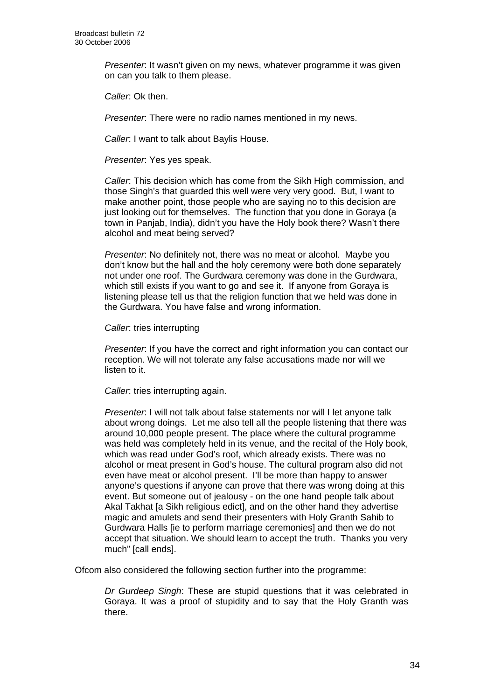*Presenter*: It wasn't given on my news, whatever programme it was given on can you talk to them please.

*Caller*: Ok then.

*Presenter*: There were no radio names mentioned in my news.

*Caller*: I want to talk about Baylis House.

*Presenter*: Yes yes speak.

*Caller*: This decision which has come from the Sikh High commission, and those Singh's that guarded this well were very very good. But, I want to make another point, those people who are saying no to this decision are just looking out for themselves. The function that you done in Goraya (a town in Panjab, India), didn't you have the Holy book there? Wasn't there alcohol and meat being served?

*Presenter*: No definitely not, there was no meat or alcohol. Maybe you don't know but the hall and the holy ceremony were both done separately not under one roof. The Gurdwara ceremony was done in the Gurdwara, which still exists if you want to go and see it. If anyone from Goraya is listening please tell us that the religion function that we held was done in the Gurdwara. You have false and wrong information.

*Caller*: tries interrupting

*Presenter*: If you have the correct and right information you can contact our reception. We will not tolerate any false accusations made nor will we listen to it.

*Caller*: tries interrupting again.

*Presenter*: I will not talk about false statements nor will I let anyone talk about wrong doings. Let me also tell all the people listening that there was around 10,000 people present. The place where the cultural programme was held was completely held in its venue, and the recital of the Holy book, which was read under God's roof, which already exists. There was no alcohol or meat present in God's house. The cultural program also did not even have meat or alcohol present. I'll be more than happy to answer anyone's questions if anyone can prove that there was wrong doing at this event. But someone out of jealousy - on the one hand people talk about Akal Takhat [a Sikh religious edict], and on the other hand they advertise magic and amulets and send their presenters with Holy Granth Sahib to Gurdwara Halls [ie to perform marriage ceremonies] and then we do not accept that situation. We should learn to accept the truth. Thanks you very much" [call ends].

Ofcom also considered the following section further into the programme:

*Dr Gurdeep Singh*: These are stupid questions that it was celebrated in Goraya. It was a proof of stupidity and to say that the Holy Granth was there.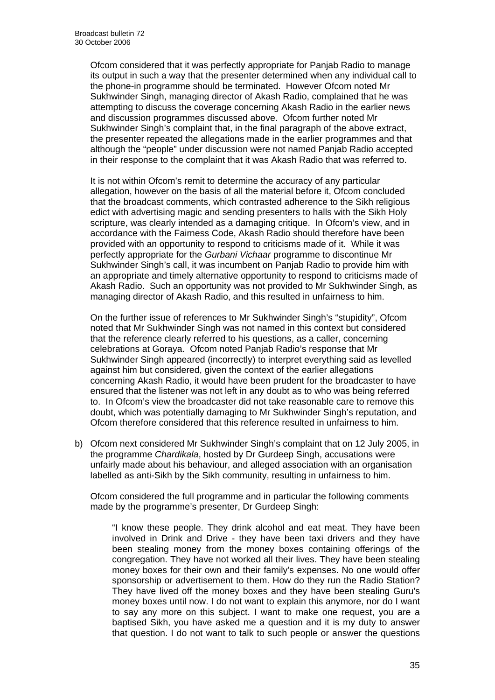Ofcom considered that it was perfectly appropriate for Panjab Radio to manage its output in such a way that the presenter determined when any individual call to the phone-in programme should be terminated. However Ofcom noted Mr Sukhwinder Singh, managing director of Akash Radio, complained that he was attempting to discuss the coverage concerning Akash Radio in the earlier news and discussion programmes discussed above. Ofcom further noted Mr Sukhwinder Singh's complaint that, in the final paragraph of the above extract, the presenter repeated the allegations made in the earlier programmes and that although the "people" under discussion were not named Panjab Radio accepted in their response to the complaint that it was Akash Radio that was referred to.

It is not within Ofcom's remit to determine the accuracy of any particular allegation, however on the basis of all the material before it, Ofcom concluded that the broadcast comments, which contrasted adherence to the Sikh religious edict with advertising magic and sending presenters to halls with the Sikh Holy scripture, was clearly intended as a damaging critique. In Ofcom's view, and in accordance with the Fairness Code, Akash Radio should therefore have been provided with an opportunity to respond to criticisms made of it. While it was perfectly appropriate for the *Gurbani Vichaar* programme to discontinue Mr Sukhwinder Singh's call, it was incumbent on Panjab Radio to provide him with an appropriate and timely alternative opportunity to respond to criticisms made of Akash Radio. Such an opportunity was not provided to Mr Sukhwinder Singh, as managing director of Akash Radio, and this resulted in unfairness to him.

On the further issue of references to Mr Sukhwinder Singh's "stupidity", Ofcom noted that Mr Sukhwinder Singh was not named in this context but considered that the reference clearly referred to his questions, as a caller, concerning celebrations at Goraya. Ofcom noted Panjab Radio's response that Mr Sukhwinder Singh appeared (incorrectly) to interpret everything said as levelled against him but considered, given the context of the earlier allegations concerning Akash Radio, it would have been prudent for the broadcaster to have ensured that the listener was not left in any doubt as to who was being referred to. In Ofcom's view the broadcaster did not take reasonable care to remove this doubt, which was potentially damaging to Mr Sukhwinder Singh's reputation, and Ofcom therefore considered that this reference resulted in unfairness to him.

b) Ofcom next considered Mr Sukhwinder Singh's complaint that on 12 July 2005, in the programme *Chardikala*, hosted by Dr Gurdeep Singh, accusations were unfairly made about his behaviour, and alleged association with an organisation labelled as anti-Sikh by the Sikh community, resulting in unfairness to him.

Ofcom considered the full programme and in particular the following comments made by the programme's presenter, Dr Gurdeep Singh:

"I know these people. They drink alcohol and eat meat. They have been involved in Drink and Drive - they have been taxi drivers and they have been stealing money from the money boxes containing offerings of the congregation. They have not worked all their lives. They have been stealing money boxes for their own and their family's expenses. No one would offer sponsorship or advertisement to them. How do they run the Radio Station? They have lived off the money boxes and they have been stealing Guru's money boxes until now. I do not want to explain this anymore, nor do I want to say any more on this subject. I want to make one request, you are a baptised Sikh, you have asked me a question and it is my duty to answer that question. I do not want to talk to such people or answer the questions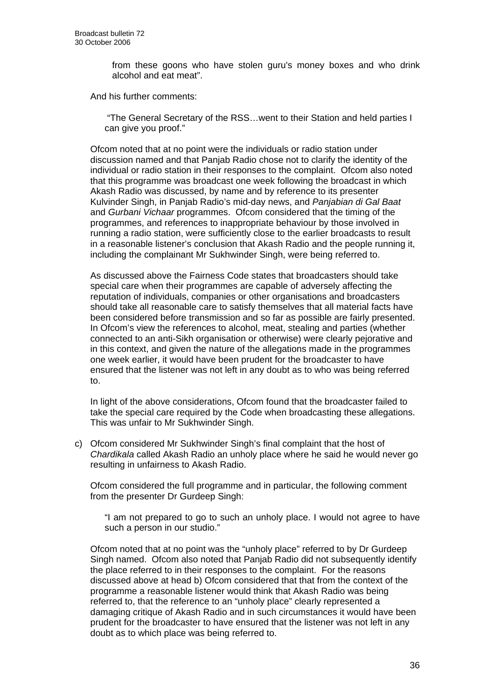from these goons who have stolen guru's money boxes and who drink alcohol and eat meat".

And his further comments:

 "The General Secretary of the RSS…went to their Station and held parties I can give you proof."

Ofcom noted that at no point were the individuals or radio station under discussion named and that Panjab Radio chose not to clarify the identity of the individual or radio station in their responses to the complaint. Ofcom also noted that this programme was broadcast one week following the broadcast in which Akash Radio was discussed, by name and by reference to its presenter Kulvinder Singh, in Panjab Radio's mid-day news, and *Panjabian di Gal Baat* and *Gurbani Vichaar* programmes. Ofcom considered that the timing of the programmes, and references to inappropriate behaviour by those involved in running a radio station, were sufficiently close to the earlier broadcasts to result in a reasonable listener's conclusion that Akash Radio and the people running it, including the complainant Mr Sukhwinder Singh, were being referred to.

As discussed above the Fairness Code states that broadcasters should take special care when their programmes are capable of adversely affecting the reputation of individuals, companies or other organisations and broadcasters should take all reasonable care to satisfy themselves that all material facts have been considered before transmission and so far as possible are fairly presented. In Ofcom's view the references to alcohol, meat, stealing and parties (whether connected to an anti-Sikh organisation or otherwise) were clearly pejorative and in this context, and given the nature of the allegations made in the programmes one week earlier, it would have been prudent for the broadcaster to have ensured that the listener was not left in any doubt as to who was being referred to.

In light of the above considerations, Ofcom found that the broadcaster failed to take the special care required by the Code when broadcasting these allegations. This was unfair to Mr Sukhwinder Singh.

c) Ofcom considered Mr Sukhwinder Singh's final complaint that the host of *Chardikala* called Akash Radio an unholy place where he said he would never go resulting in unfairness to Akash Radio.

Ofcom considered the full programme and in particular, the following comment from the presenter Dr Gurdeep Singh:

"I am not prepared to go to such an unholy place. I would not agree to have such a person in our studio."

Ofcom noted that at no point was the "unholy place" referred to by Dr Gurdeep Singh named. Ofcom also noted that Panjab Radio did not subsequently identify the place referred to in their responses to the complaint. For the reasons discussed above at head b) Ofcom considered that that from the context of the programme a reasonable listener would think that Akash Radio was being referred to, that the reference to an "unholy place" clearly represented a damaging critique of Akash Radio and in such circumstances it would have been prudent for the broadcaster to have ensured that the listener was not left in any doubt as to which place was being referred to.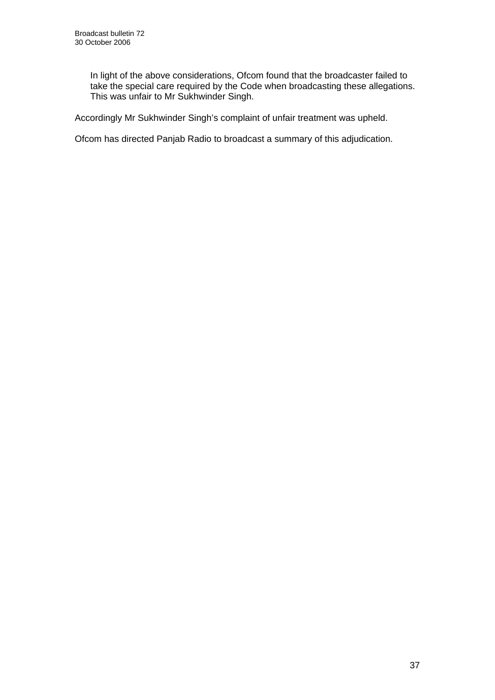In light of the above considerations, Ofcom found that the broadcaster failed to take the special care required by the Code when broadcasting these allegations. This was unfair to Mr Sukhwinder Singh.

Accordingly Mr Sukhwinder Singh's complaint of unfair treatment was upheld.

Ofcom has directed Panjab Radio to broadcast a summary of this adjudication.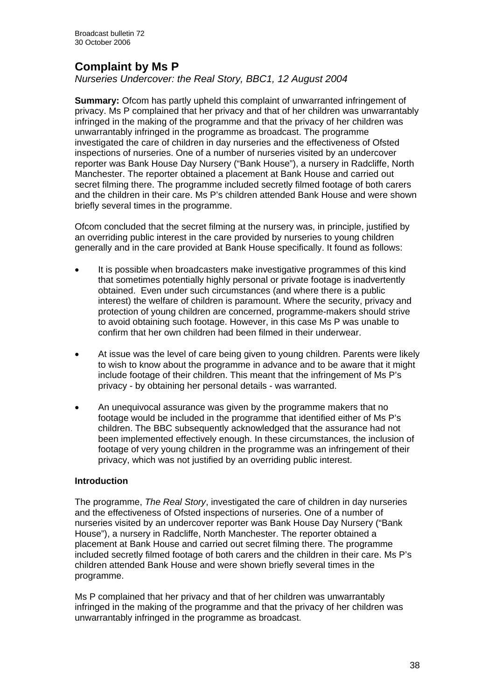## **Complaint by Ms P**

*Nurseries Undercover: the Real Story, BBC1, 12 August 2004* 

**Summary:** Ofcom has partly upheld this complaint of unwarranted infringement of privacy. Ms P complained that her privacy and that of her children was unwarrantably infringed in the making of the programme and that the privacy of her children was unwarrantably infringed in the programme as broadcast. The programme investigated the care of children in day nurseries and the effectiveness of Ofsted inspections of nurseries. One of a number of nurseries visited by an undercover reporter was Bank House Day Nursery ("Bank House"), a nursery in Radcliffe, North Manchester. The reporter obtained a placement at Bank House and carried out secret filming there. The programme included secretly filmed footage of both carers and the children in their care. Ms P's children attended Bank House and were shown briefly several times in the programme.

Ofcom concluded that the secret filming at the nursery was, in principle, justified by an overriding public interest in the care provided by nurseries to young children generally and in the care provided at Bank House specifically. It found as follows:

- It is possible when broadcasters make investigative programmes of this kind that sometimes potentially highly personal or private footage is inadvertently obtained. Even under such circumstances (and where there is a public interest) the welfare of children is paramount. Where the security, privacy and protection of young children are concerned, programme-makers should strive to avoid obtaining such footage. However, in this case Ms P was unable to confirm that her own children had been filmed in their underwear.
- At issue was the level of care being given to young children. Parents were likely to wish to know about the programme in advance and to be aware that it might include footage of their children. This meant that the infringement of Ms P's privacy - by obtaining her personal details - was warranted.
- An unequivocal assurance was given by the programme makers that no footage would be included in the programme that identified either of Ms P's children. The BBC subsequently acknowledged that the assurance had not been implemented effectively enough. In these circumstances, the inclusion of footage of very young children in the programme was an infringement of their privacy, which was not justified by an overriding public interest.

#### **Introduction**

The programme, *The Real Story*, investigated the care of children in day nurseries and the effectiveness of Ofsted inspections of nurseries. One of a number of nurseries visited by an undercover reporter was Bank House Day Nursery ("Bank House"), a nursery in Radcliffe, North Manchester. The reporter obtained a placement at Bank House and carried out secret filming there. The programme included secretly filmed footage of both carers and the children in their care. Ms P's children attended Bank House and were shown briefly several times in the programme.

Ms P complained that her privacy and that of her children was unwarrantably infringed in the making of the programme and that the privacy of her children was unwarrantably infringed in the programme as broadcast.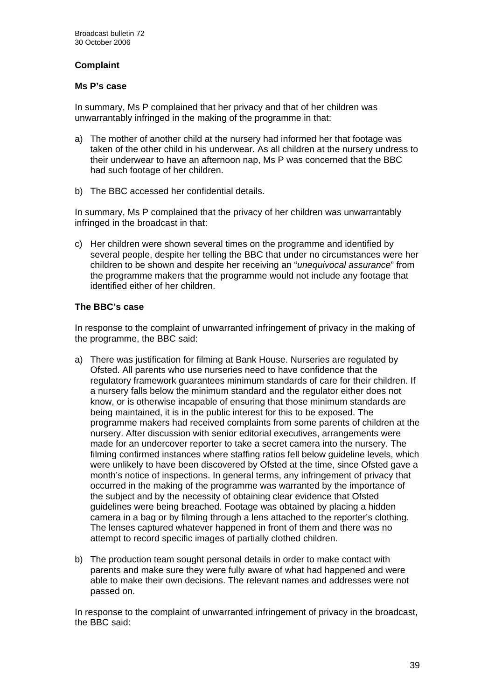#### **Complaint**

#### **Ms P's case**

In summary, Ms P complained that her privacy and that of her children was unwarrantably infringed in the making of the programme in that:

- a) The mother of another child at the nursery had informed her that footage was taken of the other child in his underwear. As all children at the nursery undress to their underwear to have an afternoon nap, Ms P was concerned that the BBC had such footage of her children.
- b) The BBC accessed her confidential details.

In summary, Ms P complained that the privacy of her children was unwarrantably infringed in the broadcast in that:

c) Her children were shown several times on the programme and identified by several people, despite her telling the BBC that under no circumstances were her children to be shown and despite her receiving an "*unequivocal assurance*" from the programme makers that the programme would not include any footage that identified either of her children.

#### **The BBC's case**

In response to the complaint of unwarranted infringement of privacy in the making of the programme, the BBC said:

- a) There was justification for filming at Bank House. Nurseries are regulated by Ofsted. All parents who use nurseries need to have confidence that the regulatory framework guarantees minimum standards of care for their children. If a nursery falls below the minimum standard and the regulator either does not know, or is otherwise incapable of ensuring that those minimum standards are being maintained, it is in the public interest for this to be exposed. The programme makers had received complaints from some parents of children at the nursery. After discussion with senior editorial executives, arrangements were made for an undercover reporter to take a secret camera into the nursery. The filming confirmed instances where staffing ratios fell below guideline levels, which were unlikely to have been discovered by Ofsted at the time, since Ofsted gave a month's notice of inspections. In general terms, any infringement of privacy that occurred in the making of the programme was warranted by the importance of the subject and by the necessity of obtaining clear evidence that Ofsted guidelines were being breached. Footage was obtained by placing a hidden camera in a bag or by filming through a lens attached to the reporter's clothing. The lenses captured whatever happened in front of them and there was no attempt to record specific images of partially clothed children.
- b) The production team sought personal details in order to make contact with parents and make sure they were fully aware of what had happened and were able to make their own decisions. The relevant names and addresses were not passed on.

In response to the complaint of unwarranted infringement of privacy in the broadcast, the BBC said: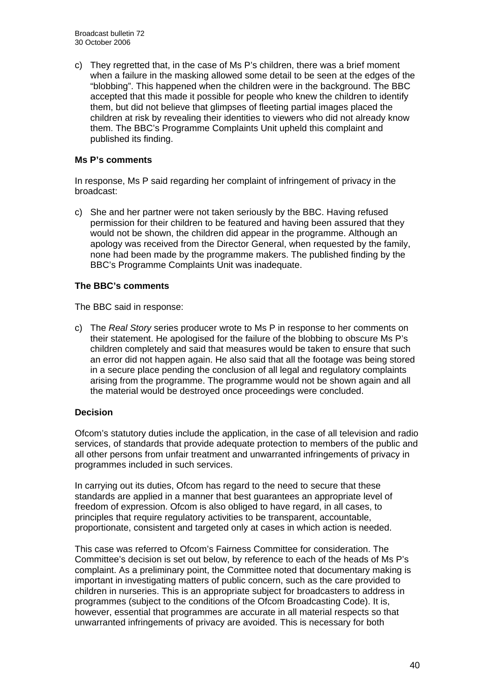Broadcast bulletin 72 30 October 2006

c) They regretted that, in the case of Ms P's children, there was a brief moment when a failure in the masking allowed some detail to be seen at the edges of the "blobbing". This happened when the children were in the background. The BBC accepted that this made it possible for people who knew the children to identify them, but did not believe that glimpses of fleeting partial images placed the children at risk by revealing their identities to viewers who did not already know them. The BBC's Programme Complaints Unit upheld this complaint and published its finding.

#### **Ms P's comments**

In response, Ms P said regarding her complaint of infringement of privacy in the broadcast:

c) She and her partner were not taken seriously by the BBC. Having refused permission for their children to be featured and having been assured that they would not be shown, the children did appear in the programme. Although an apology was received from the Director General, when requested by the family, none had been made by the programme makers. The published finding by the BBC's Programme Complaints Unit was inadequate.

#### **The BBC's comments**

The BBC said in response:

c) The *Real Story* series producer wrote to Ms P in response to her comments on their statement. He apologised for the failure of the blobbing to obscure Ms P's children completely and said that measures would be taken to ensure that such an error did not happen again. He also said that all the footage was being stored in a secure place pending the conclusion of all legal and regulatory complaints arising from the programme. The programme would not be shown again and all the material would be destroyed once proceedings were concluded.

#### **Decision**

Ofcom's statutory duties include the application, in the case of all television and radio services, of standards that provide adequate protection to members of the public and all other persons from unfair treatment and unwarranted infringements of privacy in programmes included in such services.

In carrying out its duties, Ofcom has regard to the need to secure that these standards are applied in a manner that best guarantees an appropriate level of freedom of expression. Ofcom is also obliged to have regard, in all cases, to principles that require regulatory activities to be transparent, accountable, proportionate, consistent and targeted only at cases in which action is needed.

This case was referred to Ofcom's Fairness Committee for consideration. The Committee's decision is set out below, by reference to each of the heads of Ms P's complaint. As a preliminary point, the Committee noted that documentary making is important in investigating matters of public concern, such as the care provided to children in nurseries. This is an appropriate subject for broadcasters to address in programmes (subject to the conditions of the Ofcom Broadcasting Code). It is, however, essential that programmes are accurate in all material respects so that unwarranted infringements of privacy are avoided. This is necessary for both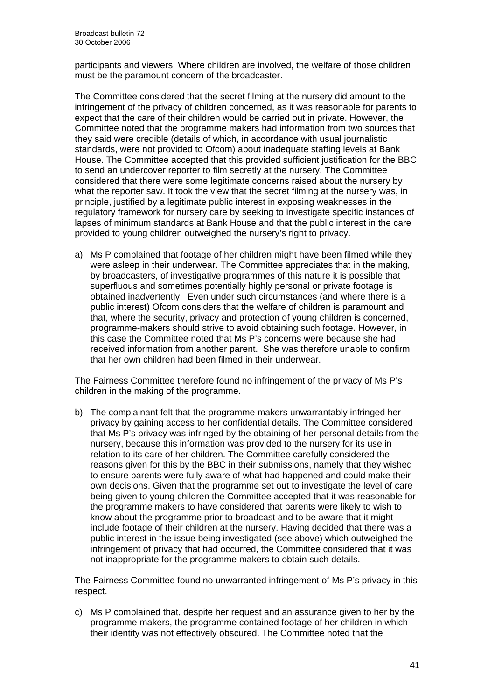participants and viewers. Where children are involved, the welfare of those children must be the paramount concern of the broadcaster.

The Committee considered that the secret filming at the nursery did amount to the infringement of the privacy of children concerned, as it was reasonable for parents to expect that the care of their children would be carried out in private. However, the Committee noted that the programme makers had information from two sources that they said were credible (details of which, in accordance with usual journalistic standards, were not provided to Ofcom) about inadequate staffing levels at Bank House. The Committee accepted that this provided sufficient justification for the BBC to send an undercover reporter to film secretly at the nursery. The Committee considered that there were some legitimate concerns raised about the nursery by what the reporter saw. It took the view that the secret filming at the nursery was, in principle, justified by a legitimate public interest in exposing weaknesses in the regulatory framework for nursery care by seeking to investigate specific instances of lapses of minimum standards at Bank House and that the public interest in the care provided to young children outweighed the nursery's right to privacy.

a) Ms P complained that footage of her children might have been filmed while they were asleep in their underwear. The Committee appreciates that in the making, by broadcasters, of investigative programmes of this nature it is possible that superfluous and sometimes potentially highly personal or private footage is obtained inadvertently. Even under such circumstances (and where there is a public interest) Ofcom considers that the welfare of children is paramount and that, where the security, privacy and protection of young children is concerned, programme-makers should strive to avoid obtaining such footage. However, in this case the Committee noted that Ms P's concerns were because she had received information from another parent. She was therefore unable to confirm that her own children had been filmed in their underwear.

The Fairness Committee therefore found no infringement of the privacy of Ms P's children in the making of the programme.

b) The complainant felt that the programme makers unwarrantably infringed her privacy by gaining access to her confidential details. The Committee considered that Ms P's privacy was infringed by the obtaining of her personal details from the nursery, because this information was provided to the nursery for its use in relation to its care of her children. The Committee carefully considered the reasons given for this by the BBC in their submissions, namely that they wished to ensure parents were fully aware of what had happened and could make their own decisions. Given that the programme set out to investigate the level of care being given to young children the Committee accepted that it was reasonable for the programme makers to have considered that parents were likely to wish to know about the programme prior to broadcast and to be aware that it might include footage of their children at the nursery. Having decided that there was a public interest in the issue being investigated (see above) which outweighed the infringement of privacy that had occurred, the Committee considered that it was not inappropriate for the programme makers to obtain such details.

The Fairness Committee found no unwarranted infringement of Ms P's privacy in this respect.

c) Ms P complained that, despite her request and an assurance given to her by the programme makers, the programme contained footage of her children in which their identity was not effectively obscured. The Committee noted that the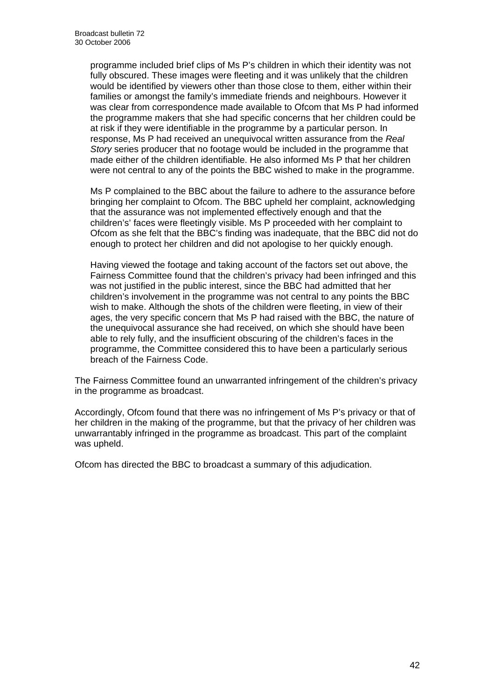programme included brief clips of Ms P's children in which their identity was not fully obscured. These images were fleeting and it was unlikely that the children would be identified by viewers other than those close to them, either within their families or amongst the family's immediate friends and neighbours. However it was clear from correspondence made available to Ofcom that Ms P had informed the programme makers that she had specific concerns that her children could be at risk if they were identifiable in the programme by a particular person. In response, Ms P had received an unequivocal written assurance from the *Real Story* series producer that no footage would be included in the programme that made either of the children identifiable. He also informed Ms P that her children were not central to any of the points the BBC wished to make in the programme.

Ms P complained to the BBC about the failure to adhere to the assurance before bringing her complaint to Ofcom. The BBC upheld her complaint, acknowledging that the assurance was not implemented effectively enough and that the children's' faces were fleetingly visible. Ms P proceeded with her complaint to Ofcom as she felt that the BBC's finding was inadequate, that the BBC did not do enough to protect her children and did not apologise to her quickly enough.

Having viewed the footage and taking account of the factors set out above, the Fairness Committee found that the children's privacy had been infringed and this was not justified in the public interest, since the BBC had admitted that her children's involvement in the programme was not central to any points the BBC wish to make. Although the shots of the children were fleeting, in view of their ages, the very specific concern that Ms P had raised with the BBC, the nature of the unequivocal assurance she had received, on which she should have been able to rely fully, and the insufficient obscuring of the children's faces in the programme, the Committee considered this to have been a particularly serious breach of the Fairness Code.

The Fairness Committee found an unwarranted infringement of the children's privacy in the programme as broadcast.

Accordingly, Ofcom found that there was no infringement of Ms P's privacy or that of her children in the making of the programme, but that the privacy of her children was unwarrantably infringed in the programme as broadcast. This part of the complaint was upheld.

Ofcom has directed the BBC to broadcast a summary of this adjudication.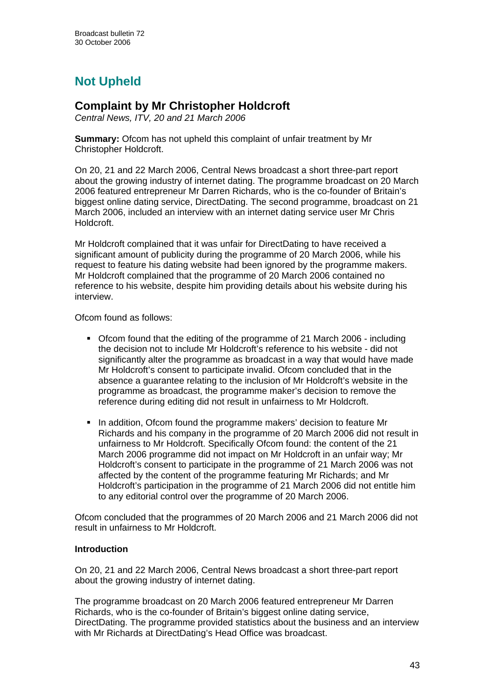# **Not Upheld**

## **Complaint by Mr Christopher Holdcroft**

*Central News, ITV, 20 and 21 March 2006* 

**Summary:** Ofcom has not upheld this complaint of unfair treatment by Mr Christopher Holdcroft.

On 20, 21 and 22 March 2006, Central News broadcast a short three-part report about the growing industry of internet dating. The programme broadcast on 20 March 2006 featured entrepreneur Mr Darren Richards, who is the co-founder of Britain's biggest online dating service, DirectDating. The second programme, broadcast on 21 March 2006, included an interview with an internet dating service user Mr Chris Holdcroft.

Mr Holdcroft complained that it was unfair for DirectDating to have received a significant amount of publicity during the programme of 20 March 2006, while his request to feature his dating website had been ignored by the programme makers. Mr Holdcroft complained that the programme of 20 March 2006 contained no reference to his website, despite him providing details about his website during his interview.

Ofcom found as follows:

- Ofcom found that the editing of the programme of 21 March 2006 including the decision not to include Mr Holdcroft's reference to his website - did not significantly alter the programme as broadcast in a way that would have made Mr Holdcroft's consent to participate invalid. Ofcom concluded that in the absence a guarantee relating to the inclusion of Mr Holdcroft's website in the programme as broadcast, the programme maker's decision to remove the reference during editing did not result in unfairness to Mr Holdcroft.
- In addition, Ofcom found the programme makers' decision to feature Mr Richards and his company in the programme of 20 March 2006 did not result in unfairness to Mr Holdcroft. Specifically Ofcom found: the content of the 21 March 2006 programme did not impact on Mr Holdcroft in an unfair way; Mr Holdcroft's consent to participate in the programme of 21 March 2006 was not affected by the content of the programme featuring Mr Richards; and Mr Holdcroft's participation in the programme of 21 March 2006 did not entitle him to any editorial control over the programme of 20 March 2006.

Ofcom concluded that the programmes of 20 March 2006 and 21 March 2006 did not result in unfairness to Mr Holdcroft.

#### **Introduction**

On 20, 21 and 22 March 2006, Central News broadcast a short three-part report about the growing industry of internet dating.

The programme broadcast on 20 March 2006 featured entrepreneur Mr Darren Richards, who is the co-founder of Britain's biggest online dating service, DirectDating. The programme provided statistics about the business and an interview with Mr Richards at DirectDating's Head Office was broadcast.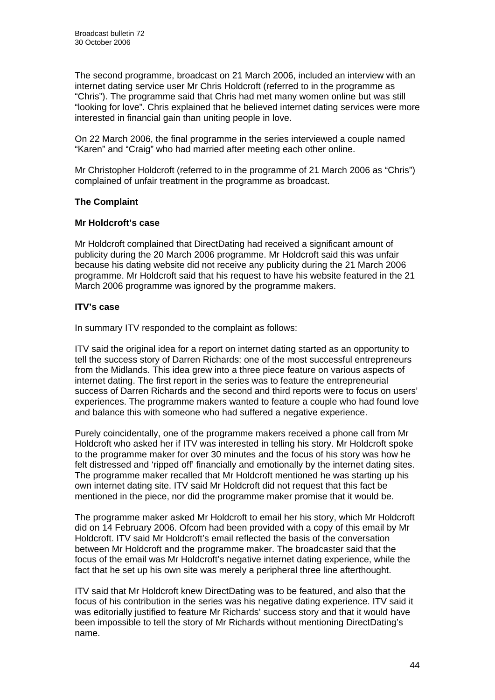The second programme, broadcast on 21 March 2006, included an interview with an internet dating service user Mr Chris Holdcroft (referred to in the programme as "Chris"). The programme said that Chris had met many women online but was still "looking for love". Chris explained that he believed internet dating services were more interested in financial gain than uniting people in love.

On 22 March 2006, the final programme in the series interviewed a couple named "Karen" and "Craig" who had married after meeting each other online.

Mr Christopher Holdcroft (referred to in the programme of 21 March 2006 as "Chris") complained of unfair treatment in the programme as broadcast.

#### **The Complaint**

#### **Mr Holdcroft's case**

Mr Holdcroft complained that DirectDating had received a significant amount of publicity during the 20 March 2006 programme. Mr Holdcroft said this was unfair because his dating website did not receive any publicity during the 21 March 2006 programme. Mr Holdcroft said that his request to have his website featured in the 21 March 2006 programme was ignored by the programme makers.

#### **ITV's case**

In summary ITV responded to the complaint as follows:

ITV said the original idea for a report on internet dating started as an opportunity to tell the success story of Darren Richards: one of the most successful entrepreneurs from the Midlands. This idea grew into a three piece feature on various aspects of internet dating. The first report in the series was to feature the entrepreneurial success of Darren Richards and the second and third reports were to focus on users' experiences. The programme makers wanted to feature a couple who had found love and balance this with someone who had suffered a negative experience.

Purely coincidentally, one of the programme makers received a phone call from Mr Holdcroft who asked her if ITV was interested in telling his story. Mr Holdcroft spoke to the programme maker for over 30 minutes and the focus of his story was how he felt distressed and 'ripped off' financially and emotionally by the internet dating sites. The programme maker recalled that Mr Holdcroft mentioned he was starting up his own internet dating site. ITV said Mr Holdcroft did not request that this fact be mentioned in the piece, nor did the programme maker promise that it would be.

The programme maker asked Mr Holdcroft to email her his story, which Mr Holdcroft did on 14 February 2006. Ofcom had been provided with a copy of this email by Mr Holdcroft. ITV said Mr Holdcroft's email reflected the basis of the conversation between Mr Holdcroft and the programme maker. The broadcaster said that the focus of the email was Mr Holdcroft's negative internet dating experience, while the fact that he set up his own site was merely a peripheral three line afterthought.

ITV said that Mr Holdcroft knew DirectDating was to be featured, and also that the focus of his contribution in the series was his negative dating experience. ITV said it was editorially justified to feature Mr Richards' success story and that it would have been impossible to tell the story of Mr Richards without mentioning DirectDating's name.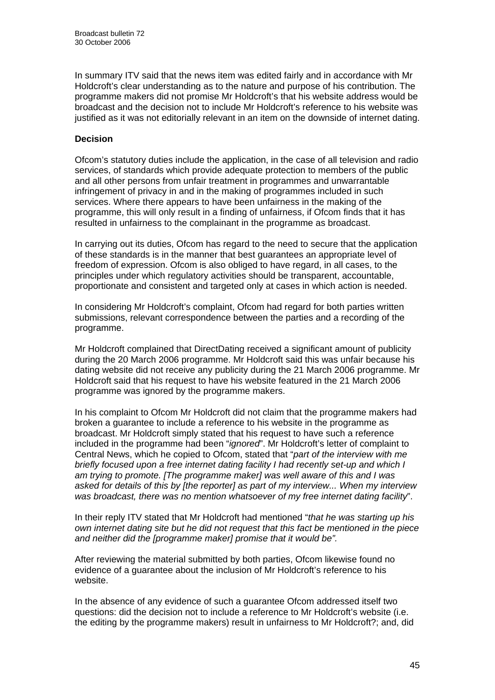In summary ITV said that the news item was edited fairly and in accordance with Mr Holdcroft's clear understanding as to the nature and purpose of his contribution. The programme makers did not promise Mr Holdcroft's that his website address would be broadcast and the decision not to include Mr Holdcroft's reference to his website was justified as it was not editorially relevant in an item on the downside of internet dating.

#### **Decision**

Ofcom's statutory duties include the application, in the case of all television and radio services, of standards which provide adequate protection to members of the public and all other persons from unfair treatment in programmes and unwarrantable infringement of privacy in and in the making of programmes included in such services. Where there appears to have been unfairness in the making of the programme, this will only result in a finding of unfairness, if Ofcom finds that it has resulted in unfairness to the complainant in the programme as broadcast.

In carrying out its duties, Ofcom has regard to the need to secure that the application of these standards is in the manner that best guarantees an appropriate level of freedom of expression. Ofcom is also obliged to have regard, in all cases, to the principles under which regulatory activities should be transparent, accountable, proportionate and consistent and targeted only at cases in which action is needed.

In considering Mr Holdcroft's complaint, Ofcom had regard for both parties written submissions, relevant correspondence between the parties and a recording of the programme.

Mr Holdcroft complained that DirectDating received a significant amount of publicity during the 20 March 2006 programme. Mr Holdcroft said this was unfair because his dating website did not receive any publicity during the 21 March 2006 programme. Mr Holdcroft said that his request to have his website featured in the 21 March 2006 programme was ignored by the programme makers.

In his complaint to Ofcom Mr Holdcroft did not claim that the programme makers had broken a guarantee to include a reference to his website in the programme as broadcast. Mr Holdcroft simply stated that his request to have such a reference included in the programme had been "*ignored*". Mr Holdcroft's letter of complaint to Central News, which he copied to Ofcom, stated that "*part of the interview with me briefly focused upon a free internet dating facility I had recently set-up and which I am trying to promote. [The programme maker] was well aware of this and I was asked for details of this by [the reporter] as part of my interview... When my interview was broadcast, there was no mention whatsoever of my free internet dating facility*".

In their reply ITV stated that Mr Holdcroft had mentioned "*that he was starting up his own internet dating site but he did not request that this fact be mentioned in the piece and neither did the [programme maker] promise that it would be".* 

After reviewing the material submitted by both parties, Ofcom likewise found no evidence of a guarantee about the inclusion of Mr Holdcroft's reference to his website.

In the absence of any evidence of such a guarantee Ofcom addressed itself two questions: did the decision not to include a reference to Mr Holdcroft's website (i.e. the editing by the programme makers) result in unfairness to Mr Holdcroft?; and, did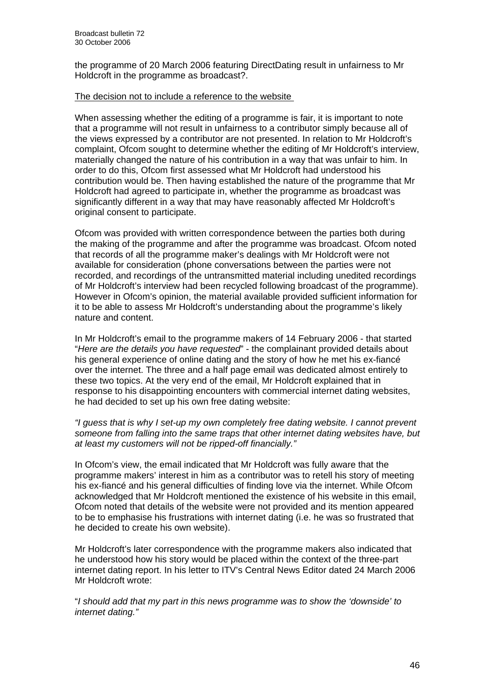the programme of 20 March 2006 featuring DirectDating result in unfairness to Mr Holdcroft in the programme as broadcast?.

#### The decision not to include a reference to the website

When assessing whether the editing of a programme is fair, it is important to note that a programme will not result in unfairness to a contributor simply because all of the views expressed by a contributor are not presented. In relation to Mr Holdcroft's complaint, Ofcom sought to determine whether the editing of Mr Holdcroft's interview, materially changed the nature of his contribution in a way that was unfair to him. In order to do this, Ofcom first assessed what Mr Holdcroft had understood his contribution would be. Then having established the nature of the programme that Mr Holdcroft had agreed to participate in, whether the programme as broadcast was significantly different in a way that may have reasonably affected Mr Holdcroft's original consent to participate.

Ofcom was provided with written correspondence between the parties both during the making of the programme and after the programme was broadcast. Ofcom noted that records of all the programme maker's dealings with Mr Holdcroft were not available for consideration (phone conversations between the parties were not recorded, and recordings of the untransmitted material including unedited recordings of Mr Holdcroft's interview had been recycled following broadcast of the programme). However in Ofcom's opinion, the material available provided sufficient information for it to be able to assess Mr Holdcroft's understanding about the programme's likely nature and content.

In Mr Holdcroft's email to the programme makers of 14 February 2006 - that started "*Here are the details you have requested*" - the complainant provided details about his general experience of online dating and the story of how he met his ex-fiancé over the internet. The three and a half page email was dedicated almost entirely to these two topics. At the very end of the email, Mr Holdcroft explained that in response to his disappointing encounters with commercial internet dating websites, he had decided to set up his own free dating website:

#### *"I guess that is why I set-up my own completely free dating website. I cannot prevent someone from falling into the same traps that other internet dating websites have, but at least my customers will not be ripped-off financially."*

In Ofcom's view, the email indicated that Mr Holdcroft was fully aware that the programme makers' interest in him as a contributor was to retell his story of meeting his ex-fiancé and his general difficulties of finding love via the internet. While Ofcom acknowledged that Mr Holdcroft mentioned the existence of his website in this email, Ofcom noted that details of the website were not provided and its mention appeared to be to emphasise his frustrations with internet dating (i.e. he was so frustrated that he decided to create his own website).

Mr Holdcroft's later correspondence with the programme makers also indicated that he understood how his story would be placed within the context of the three-part internet dating report. In his letter to ITV's Central News Editor dated 24 March 2006 Mr Holdcroft wrote:

"*I should add that my part in this news programme was to show the 'downside' to internet dating."*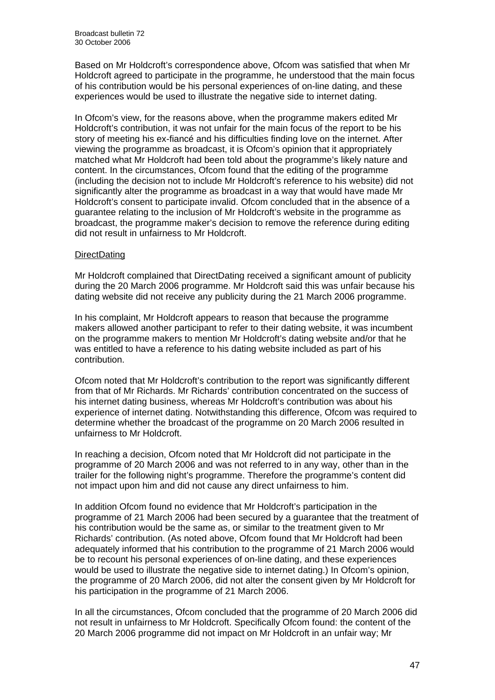Based on Mr Holdcroft's correspondence above, Ofcom was satisfied that when Mr Holdcroft agreed to participate in the programme, he understood that the main focus of his contribution would be his personal experiences of on-line dating, and these experiences would be used to illustrate the negative side to internet dating.

In Ofcom's view, for the reasons above, when the programme makers edited Mr Holdcroft's contribution, it was not unfair for the main focus of the report to be his story of meeting his ex-fiancé and his difficulties finding love on the internet. After viewing the programme as broadcast, it is Ofcom's opinion that it appropriately matched what Mr Holdcroft had been told about the programme's likely nature and content. In the circumstances, Ofcom found that the editing of the programme (including the decision not to include Mr Holdcroft's reference to his website) did not significantly alter the programme as broadcast in a way that would have made Mr Holdcroft's consent to participate invalid. Ofcom concluded that in the absence of a guarantee relating to the inclusion of Mr Holdcroft's website in the programme as broadcast, the programme maker's decision to remove the reference during editing did not result in unfairness to Mr Holdcroft.

#### **DirectDating**

Mr Holdcroft complained that DirectDating received a significant amount of publicity during the 20 March 2006 programme. Mr Holdcroft said this was unfair because his dating website did not receive any publicity during the 21 March 2006 programme.

In his complaint, Mr Holdcroft appears to reason that because the programme makers allowed another participant to refer to their dating website, it was incumbent on the programme makers to mention Mr Holdcroft's dating website and/or that he was entitled to have a reference to his dating website included as part of his contribution.

Ofcom noted that Mr Holdcroft's contribution to the report was significantly different from that of Mr Richards. Mr Richards' contribution concentrated on the success of his internet dating business, whereas Mr Holdcroft's contribution was about his experience of internet dating. Notwithstanding this difference, Ofcom was required to determine whether the broadcast of the programme on 20 March 2006 resulted in unfairness to Mr Holdcroft.

In reaching a decision, Ofcom noted that Mr Holdcroft did not participate in the programme of 20 March 2006 and was not referred to in any way, other than in the trailer for the following night's programme. Therefore the programme's content did not impact upon him and did not cause any direct unfairness to him.

In addition Ofcom found no evidence that Mr Holdcroft's participation in the programme of 21 March 2006 had been secured by a guarantee that the treatment of his contribution would be the same as, or similar to the treatment given to Mr Richards' contribution. (As noted above, Ofcom found that Mr Holdcroft had been adequately informed that his contribution to the programme of 21 March 2006 would be to recount his personal experiences of on-line dating, and these experiences would be used to illustrate the negative side to internet dating.) In Ofcom's opinion, the programme of 20 March 2006, did not alter the consent given by Mr Holdcroft for his participation in the programme of 21 March 2006.

In all the circumstances, Ofcom concluded that the programme of 20 March 2006 did not result in unfairness to Mr Holdcroft. Specifically Ofcom found: the content of the 20 March 2006 programme did not impact on Mr Holdcroft in an unfair way; Mr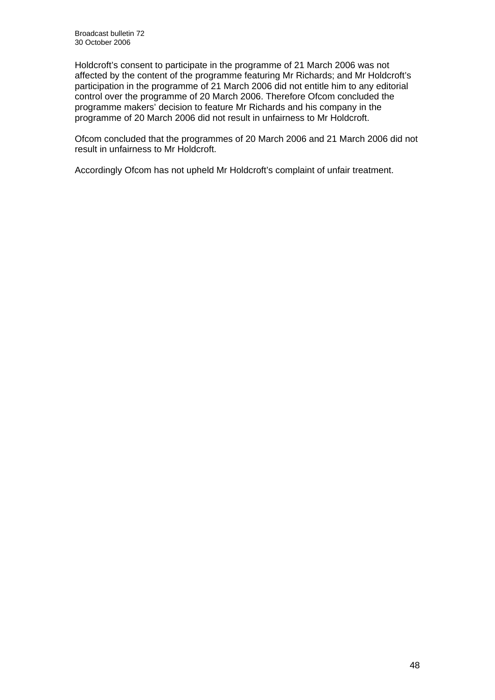Holdcroft's consent to participate in the programme of 21 March 2006 was not affected by the content of the programme featuring Mr Richards; and Mr Holdcroft's participation in the programme of 21 March 2006 did not entitle him to any editorial control over the programme of 20 March 2006. Therefore Ofcom concluded the programme makers' decision to feature Mr Richards and his company in the programme of 20 March 2006 did not result in unfairness to Mr Holdcroft.

Ofcom concluded that the programmes of 20 March 2006 and 21 March 2006 did not result in unfairness to Mr Holdcroft.

Accordingly Ofcom has not upheld Mr Holdcroft's complaint of unfair treatment.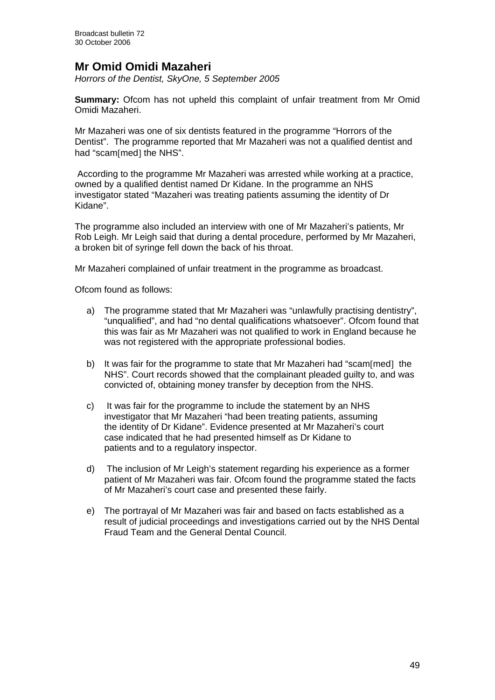## **Mr Omid Omidi Mazaheri**

*Horrors of the Dentist, SkyOne, 5 September 2005* 

**Summary:** Ofcom has not upheld this complaint of unfair treatment from Mr Omid Omidi Mazaheri.

Mr Mazaheri was one of six dentists featured in the programme "Horrors of the Dentist". The programme reported that Mr Mazaheri was not a qualified dentist and had "scam[med] the NHS".

 According to the programme Mr Mazaheri was arrested while working at a practice, owned by a qualified dentist named Dr Kidane. In the programme an NHS investigator stated "Mazaheri was treating patients assuming the identity of Dr Kidane".

The programme also included an interview with one of Mr Mazaheri's patients, Mr Rob Leigh. Mr Leigh said that during a dental procedure, performed by Mr Mazaheri, a broken bit of syringe fell down the back of his throat.

Mr Mazaheri complained of unfair treatment in the programme as broadcast.

Ofcom found as follows:

- a) The programme stated that Mr Mazaheri was "unlawfully practising dentistry", "unqualified", and had "no dental qualifications whatsoever". Ofcom found that this was fair as Mr Mazaheri was not qualified to work in England because he was not registered with the appropriate professional bodies.
- b) It was fair for the programme to state that Mr Mazaheri had "scam[med] the NHS". Court records showed that the complainant pleaded guilty to, and was convicted of, obtaining money transfer by deception from the NHS.
- c) It was fair for the programme to include the statement by an NHS investigator that Mr Mazaheri "had been treating patients, assuming the identity of Dr Kidane". Evidence presented at Mr Mazaheri's court case indicated that he had presented himself as Dr Kidane to patients and to a regulatory inspector.
- d) The inclusion of Mr Leigh's statement regarding his experience as a former patient of Mr Mazaheri was fair. Ofcom found the programme stated the facts of Mr Mazaheri's court case and presented these fairly.
- e) The portrayal of Mr Mazaheri was fair and based on facts established as a result of judicial proceedings and investigations carried out by the NHS Dental Fraud Team and the General Dental Council.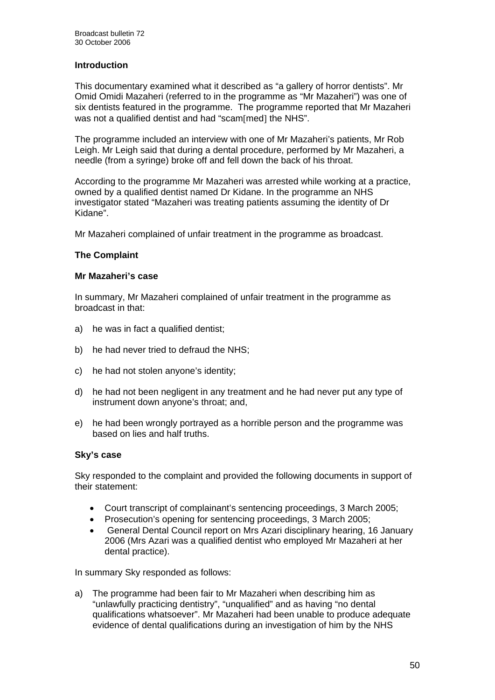#### **Introduction**

This documentary examined what it described as "a gallery of horror dentists". Mr Omid Omidi Mazaheri (referred to in the programme as "Mr Mazaheri") was one of six dentists featured in the programme. The programme reported that Mr Mazaheri was not a qualified dentist and had "scam[med] the NHS".

The programme included an interview with one of Mr Mazaheri's patients, Mr Rob Leigh. Mr Leigh said that during a dental procedure, performed by Mr Mazaheri, a needle (from a syringe) broke off and fell down the back of his throat.

According to the programme Mr Mazaheri was arrested while working at a practice, owned by a qualified dentist named Dr Kidane. In the programme an NHS investigator stated "Mazaheri was treating patients assuming the identity of Dr Kidane".

Mr Mazaheri complained of unfair treatment in the programme as broadcast.

#### **The Complaint**

#### **Mr Mazaheri's case**

In summary, Mr Mazaheri complained of unfair treatment in the programme as broadcast in that:

- a) he was in fact a qualified dentist;
- b) he had never tried to defraud the NHS;
- c) he had not stolen anyone's identity;
- d) he had not been negligent in any treatment and he had never put any type of instrument down anyone's throat; and,
- e) he had been wrongly portrayed as a horrible person and the programme was based on lies and half truths.

#### **Sky's case**

Sky responded to the complaint and provided the following documents in support of their statement:

- Court transcript of complainant's sentencing proceedings, 3 March 2005;
- Prosecution's opening for sentencing proceedings, 3 March 2005;
- General Dental Council report on Mrs Azari disciplinary hearing, 16 January 2006 (Mrs Azari was a qualified dentist who employed Mr Mazaheri at her dental practice).

In summary Sky responded as follows:

a) The programme had been fair to Mr Mazaheri when describing him as "unlawfully practicing dentistry", "unqualified" and as having "no dental qualifications whatsoever". Mr Mazaheri had been unable to produce adequate evidence of dental qualifications during an investigation of him by the NHS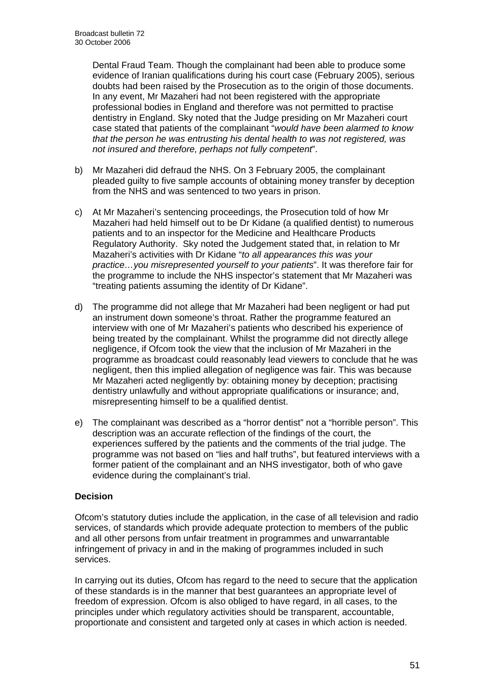Dental Fraud Team. Though the complainant had been able to produce some evidence of Iranian qualifications during his court case (February 2005), serious doubts had been raised by the Prosecution as to the origin of those documents. In any event, Mr Mazaheri had not been registered with the appropriate professional bodies in England and therefore was not permitted to practise dentistry in England. Sky noted that the Judge presiding on Mr Mazaheri court case stated that patients of the complainant "*would have been alarmed to know that the person he was entrusting his dental health to was not registered, was not insured and therefore, perhaps not fully competent*".

- b) Mr Mazaheri did defraud the NHS. On 3 February 2005, the complainant pleaded guilty to five sample accounts of obtaining money transfer by deception from the NHS and was sentenced to two years in prison.
- c) At Mr Mazaheri's sentencing proceedings, the Prosecution told of how Mr Mazaheri had held himself out to be Dr Kidane (a qualified dentist) to numerous patients and to an inspector for the Medicine and Healthcare Products Regulatory Authority. Sky noted the Judgement stated that, in relation to Mr Mazaheri's activities with Dr Kidane "*to all appearances this was your practice…you misrepresented yourself to your patients*". It was therefore fair for the programme to include the NHS inspector's statement that Mr Mazaheri was "treating patients assuming the identity of Dr Kidane".
- d) The programme did not allege that Mr Mazaheri had been negligent or had put an instrument down someone's throat. Rather the programme featured an interview with one of Mr Mazaheri's patients who described his experience of being treated by the complainant. Whilst the programme did not directly allege negligence, if Ofcom took the view that the inclusion of Mr Mazaheri in the programme as broadcast could reasonably lead viewers to conclude that he was negligent, then this implied allegation of negligence was fair. This was because Mr Mazaheri acted negligently by: obtaining money by deception; practising dentistry unlawfully and without appropriate qualifications or insurance; and, misrepresenting himself to be a qualified dentist.
- e) The complainant was described as a "horror dentist" not a "horrible person". This description was an accurate reflection of the findings of the court, the experiences suffered by the patients and the comments of the trial judge. The programme was not based on "lies and half truths", but featured interviews with a former patient of the complainant and an NHS investigator, both of who gave evidence during the complainant's trial.

#### **Decision**

Ofcom's statutory duties include the application, in the case of all television and radio services, of standards which provide adequate protection to members of the public and all other persons from unfair treatment in programmes and unwarrantable infringement of privacy in and in the making of programmes included in such services.

In carrying out its duties, Ofcom has regard to the need to secure that the application of these standards is in the manner that best guarantees an appropriate level of freedom of expression. Ofcom is also obliged to have regard, in all cases, to the principles under which regulatory activities should be transparent, accountable, proportionate and consistent and targeted only at cases in which action is needed.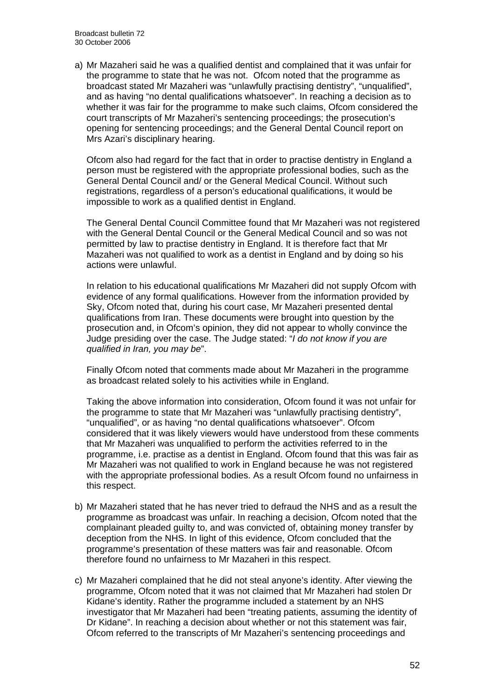a) Mr Mazaheri said he was a qualified dentist and complained that it was unfair for the programme to state that he was not. Ofcom noted that the programme as broadcast stated Mr Mazaheri was "unlawfully practising dentistry", "unqualified", and as having "no dental qualifications whatsoever". In reaching a decision as to whether it was fair for the programme to make such claims, Ofcom considered the court transcripts of Mr Mazaheri's sentencing proceedings; the prosecution's opening for sentencing proceedings; and the General Dental Council report on Mrs Azari's disciplinary hearing.

 Ofcom also had regard for the fact that in order to practise dentistry in England a person must be registered with the appropriate professional bodies, such as the General Dental Council and/ or the General Medical Council. Without such registrations, regardless of a person's educational qualifications, it would be impossible to work as a qualified dentist in England.

 The General Dental Council Committee found that Mr Mazaheri was not registered with the General Dental Council or the General Medical Council and so was not permitted by law to practise dentistry in England. It is therefore fact that Mr Mazaheri was not qualified to work as a dentist in England and by doing so his actions were unlawful.

 In relation to his educational qualifications Mr Mazaheri did not supply Ofcom with evidence of any formal qualifications. However from the information provided by Sky, Ofcom noted that, during his court case, Mr Mazaheri presented dental qualifications from Iran. These documents were brought into question by the prosecution and, in Ofcom's opinion, they did not appear to wholly convince the Judge presiding over the case. The Judge stated: "*I do not know if you are qualified in Iran, you may be*".

 Finally Ofcom noted that comments made about Mr Mazaheri in the programme as broadcast related solely to his activities while in England.

 Taking the above information into consideration, Ofcom found it was not unfair for the programme to state that Mr Mazaheri was "unlawfully practising dentistry", "unqualified", or as having "no dental qualifications whatsoever". Ofcom considered that it was likely viewers would have understood from these comments that Mr Mazaheri was unqualified to perform the activities referred to in the programme, i.e. practise as a dentist in England. Ofcom found that this was fair as Mr Mazaheri was not qualified to work in England because he was not registered with the appropriate professional bodies. As a result Ofcom found no unfairness in this respect.

- b) Mr Mazaheri stated that he has never tried to defraud the NHS and as a result the programme as broadcast was unfair. In reaching a decision, Ofcom noted that the complainant pleaded guilty to, and was convicted of, obtaining money transfer by deception from the NHS. In light of this evidence, Ofcom concluded that the programme's presentation of these matters was fair and reasonable. Ofcom therefore found no unfairness to Mr Mazaheri in this respect.
- c) Mr Mazaheri complained that he did not steal anyone's identity. After viewing the programme, Ofcom noted that it was not claimed that Mr Mazaheri had stolen Dr Kidane's identity. Rather the programme included a statement by an NHS investigator that Mr Mazaheri had been "treating patients, assuming the identity of Dr Kidane". In reaching a decision about whether or not this statement was fair, Ofcom referred to the transcripts of Mr Mazaheri's sentencing proceedings and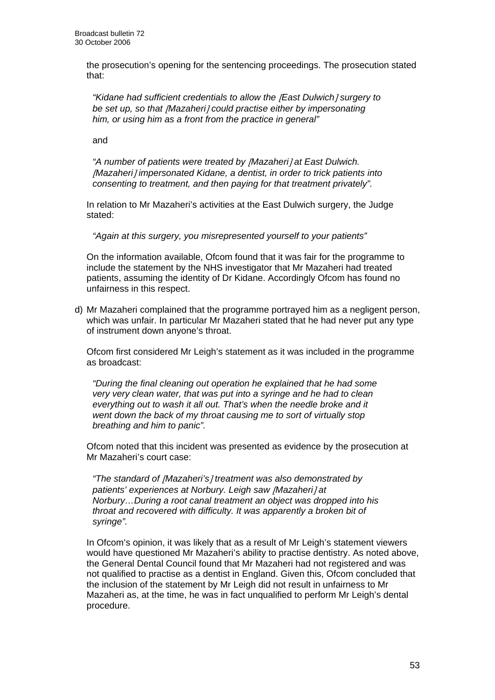the prosecution's opening for the sentencing proceedings. The prosecution stated that:

*"Kidane had sufficient credentials to allow the* [*East Dulwich*] *surgery to be set up, so that* [*Mazaheri*] *could practise either by impersonating him, or using him as a front from the practice in general"* 

and

*"A number of patients were treated by* [*Mazaheri*] *at East Dulwich.*  [*Mazaheri*] *impersonated Kidane, a dentist, in order to trick patients into consenting to treatment, and then paying for that treatment privately".* 

 In relation to Mr Mazaheri's activities at the East Dulwich surgery, the Judge stated:

*"Again at this surgery, you misrepresented yourself to your patients"* 

 On the information available, Ofcom found that it was fair for the programme to include the statement by the NHS investigator that Mr Mazaheri had treated patients, assuming the identity of Dr Kidane. Accordingly Ofcom has found no unfairness in this respect.

d) Mr Mazaheri complained that the programme portrayed him as a negligent person, which was unfair. In particular Mr Mazaheri stated that he had never put any type of instrument down anyone's throat.

 Ofcom first considered Mr Leigh's statement as it was included in the programme as broadcast:

*"During the final cleaning out operation he explained that he had some very very clean water, that was put into a syringe and he had to clean everything out to wash it all out. That's when the needle broke and it went down the back of my throat causing me to sort of virtually stop breathing and him to panic".* 

 Ofcom noted that this incident was presented as evidence by the prosecution at Mr Mazaheri's court case:

*"The standard of* [*Mazaheri's*] *treatment was also demonstrated by patients' experiences at Norbury. Leigh saw* [*Mazaheri*] *at Norbury…During a root canal treatment an object was dropped into his throat and recovered with difficulty. It was apparently a broken bit of syringe".* 

 In Ofcom's opinion, it was likely that as a result of Mr Leigh's statement viewers would have questioned Mr Mazaheri's ability to practise dentistry. As noted above, the General Dental Council found that Mr Mazaheri had not registered and was not qualified to practise as a dentist in England. Given this, Ofcom concluded that the inclusion of the statement by Mr Leigh did not result in unfairness to Mr Mazaheri as, at the time, he was in fact unqualified to perform Mr Leigh's dental procedure.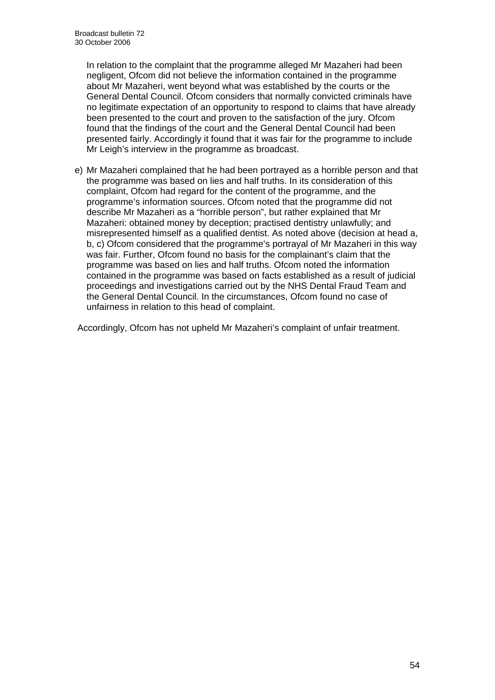In relation to the complaint that the programme alleged Mr Mazaheri had been negligent, Ofcom did not believe the information contained in the programme about Mr Mazaheri, went beyond what was established by the courts or the General Dental Council. Ofcom considers that normally convicted criminals have no legitimate expectation of an opportunity to respond to claims that have already been presented to the court and proven to the satisfaction of the jury. Ofcom found that the findings of the court and the General Dental Council had been presented fairly. Accordingly it found that it was fair for the programme to include Mr Leigh's interview in the programme as broadcast.

e) Mr Mazaheri complained that he had been portrayed as a horrible person and that the programme was based on lies and half truths. In its consideration of this complaint, Ofcom had regard for the content of the programme, and the programme's information sources. Ofcom noted that the programme did not describe Mr Mazaheri as a "horrible person", but rather explained that Mr Mazaheri: obtained money by deception; practised dentistry unlawfully; and misrepresented himself as a qualified dentist. As noted above (decision at head a, b, c) Ofcom considered that the programme's portrayal of Mr Mazaheri in this way was fair. Further, Ofcom found no basis for the complainant's claim that the programme was based on lies and half truths. Ofcom noted the information contained in the programme was based on facts established as a result of judicial proceedings and investigations carried out by the NHS Dental Fraud Team and the General Dental Council. In the circumstances, Ofcom found no case of unfairness in relation to this head of complaint.

Accordingly, Ofcom has not upheld Mr Mazaheri's complaint of unfair treatment.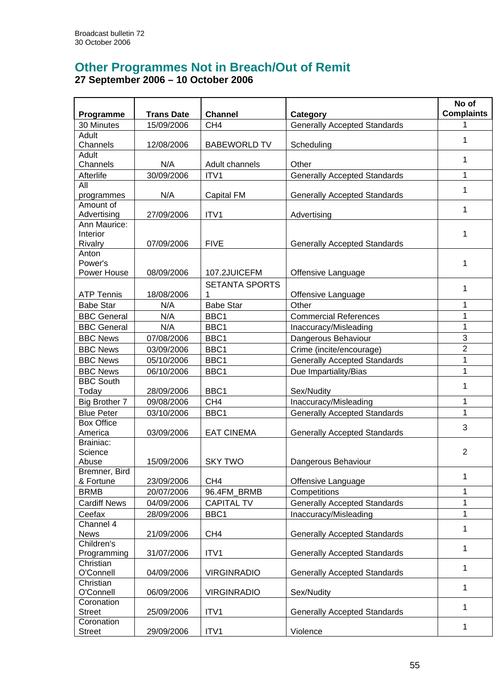# **Other Programmes Not in Breach/Out of Remit**

**27 September 2006 – 10 October 2006** 

| Programme                   | <b>Trans Date</b> | <b>Channel</b>        | Category                            | No of<br><b>Complaints</b> |
|-----------------------------|-------------------|-----------------------|-------------------------------------|----------------------------|
| 30 Minutes                  | 15/09/2006        | CH <sub>4</sub>       | <b>Generally Accepted Standards</b> | 1                          |
| Adult<br>Channels           | 12/08/2006        | <b>BABEWORLD TV</b>   | Scheduling                          | 1                          |
| Adult<br>Channels           | N/A               | Adult channels        | Other                               | 1                          |
| Afterlife                   | 30/09/2006        | ITV1                  | <b>Generally Accepted Standards</b> | 1                          |
| All                         |                   |                       |                                     |                            |
| programmes                  | N/A               | <b>Capital FM</b>     | <b>Generally Accepted Standards</b> | 1                          |
| Amount of                   |                   |                       |                                     | 1                          |
| Advertising<br>Ann Maurice: | 27/09/2006        | ITV1                  | Advertising                         |                            |
| Interior                    |                   |                       |                                     | 1                          |
| Rivalry                     | 07/09/2006        | <b>FIVE</b>           | <b>Generally Accepted Standards</b> |                            |
| Anton                       |                   |                       |                                     |                            |
| Power's                     |                   |                       |                                     | 1                          |
| Power House                 | 08/09/2006        | 107.2JUICEFM          | Offensive Language                  |                            |
|                             |                   | <b>SETANTA SPORTS</b> |                                     |                            |
| <b>ATP Tennis</b>           | 18/08/2006        | 1                     | Offensive Language                  | 1                          |
| <b>Babe Star</b>            | N/A               | <b>Babe Star</b>      | Other                               | 1                          |
| <b>BBC General</b>          | N/A               | BBC1                  | <b>Commercial References</b>        | 1                          |
| <b>BBC General</b>          | N/A               | BBC1                  | Inaccuracy/Misleading               | 1                          |
| <b>BBC News</b>             | 07/08/2006        | BBC1                  | Dangerous Behaviour                 | $\overline{3}$             |
| <b>BBC News</b>             | 03/09/2006        | BBC1                  | Crime (incite/encourage)            | $\overline{2}$             |
| <b>BBC News</b>             | 05/10/2006        | BBC1                  | <b>Generally Accepted Standards</b> | 1                          |
| <b>BBC News</b>             | 06/10/2006        | BBC1                  | Due Impartiality/Bias               | $\mathbf 1$                |
| <b>BBC South</b>            |                   |                       |                                     |                            |
| Today                       | 28/09/2006        | BBC1                  | Sex/Nudity                          | 1                          |
| <b>Big Brother 7</b>        | 09/08/2006        | CH <sub>4</sub>       | Inaccuracy/Misleading               | 1                          |
| <b>Blue Peter</b>           | 03/10/2006        | BBC1                  | <b>Generally Accepted Standards</b> | $\overline{1}$             |
| <b>Box Office</b>           |                   |                       |                                     | 3                          |
| America                     | 03/09/2006        | <b>EAT CINEMA</b>     | <b>Generally Accepted Standards</b> |                            |
| Brainiac:                   |                   |                       |                                     |                            |
| Science                     |                   |                       |                                     | $\overline{2}$             |
| Abuse                       | 15/09/2006        | <b>SKY TWO</b>        | Dangerous Behaviour                 |                            |
| Bremner, Bird<br>& Fortune  | 23/09/2006        | CH <sub>4</sub>       | Offensive Language                  | 1                          |
| <b>BRMB</b>                 | 20/07/2006        | 96.4FM_BRMB           | Competitions                        | 1                          |
| <b>Cardiff News</b>         | 04/09/2006        | <b>CAPITAL TV</b>     | <b>Generally Accepted Standards</b> | 1                          |
| Ceefax                      | 28/09/2006        | BBC1                  | Inaccuracy/Misleading               | 1                          |
| Channel 4                   |                   |                       |                                     |                            |
| <b>News</b>                 | 21/09/2006        | CH <sub>4</sub>       | <b>Generally Accepted Standards</b> | 1                          |
| Children's                  |                   |                       |                                     |                            |
| Programming                 | 31/07/2006        | ITV1                  | <b>Generally Accepted Standards</b> | 1                          |
| Christian                   |                   |                       |                                     | 1                          |
| O'Connell                   | 04/09/2006        | <b>VIRGINRADIO</b>    | <b>Generally Accepted Standards</b> |                            |
| Christian                   |                   |                       |                                     | 1                          |
| O'Connell                   | 06/09/2006        | <b>VIRGINRADIO</b>    | Sex/Nudity                          |                            |
| Coronation                  |                   |                       |                                     | 1                          |
| <b>Street</b>               | 25/09/2006        | ITV1                  | <b>Generally Accepted Standards</b> |                            |
| Coronation<br><b>Street</b> | 29/09/2006        | ITV1                  | Violence                            | 1                          |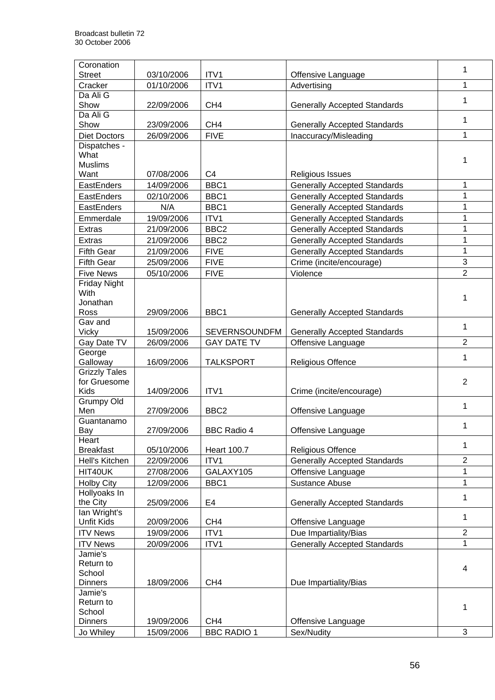| Coronation           |            |                      |                                     | 1              |
|----------------------|------------|----------------------|-------------------------------------|----------------|
| <b>Street</b>        | 03/10/2006 | ITV1                 | Offensive Language                  |                |
| Cracker              | 01/10/2006 | ITV1                 | Advertising                         | 1              |
| Da Ali G             |            |                      |                                     | 1              |
| Show                 | 22/09/2006 | CH <sub>4</sub>      | <b>Generally Accepted Standards</b> |                |
| Da Ali G             |            |                      |                                     | 1              |
| Show                 | 23/09/2006 | CH <sub>4</sub>      | <b>Generally Accepted Standards</b> |                |
| <b>Diet Doctors</b>  | 26/09/2006 | <b>FIVE</b>          | Inaccuracy/Misleading               | 1              |
| Dispatches -         |            |                      |                                     |                |
| What                 |            |                      |                                     | 1              |
| <b>Muslims</b>       |            |                      |                                     |                |
| Want                 | 07/08/2006 | C <sub>4</sub>       | Religious Issues                    |                |
| EastEnders           | 14/09/2006 | BBC1                 | <b>Generally Accepted Standards</b> | 1              |
| EastEnders           | 02/10/2006 | BBC1                 | <b>Generally Accepted Standards</b> | 1              |
| EastEnders           | N/A        | BBC1                 | <b>Generally Accepted Standards</b> | 1              |
| Emmerdale            | 19/09/2006 | ITV1                 | <b>Generally Accepted Standards</b> | 1              |
| <b>Extras</b>        | 21/09/2006 | BBC <sub>2</sub>     | <b>Generally Accepted Standards</b> | 1              |
| <b>Extras</b>        | 21/09/2006 | BBC <sub>2</sub>     | <b>Generally Accepted Standards</b> | 1              |
| <b>Fifth Gear</b>    | 21/09/2006 | <b>FIVE</b>          | <b>Generally Accepted Standards</b> | $\mathbf{1}$   |
| <b>Fifth Gear</b>    | 25/09/2006 | <b>FIVE</b>          | Crime (incite/encourage)            | 3              |
| <b>Five News</b>     | 05/10/2006 | <b>FIVE</b>          | Violence                            | $\overline{2}$ |
| Friday Night         |            |                      |                                     |                |
| With<br>Jonathan     |            |                      |                                     | 1              |
| Ross                 | 29/09/2006 | BBC1                 |                                     |                |
| Gav and              |            |                      | <b>Generally Accepted Standards</b> |                |
| Vicky                | 15/09/2006 | <b>SEVERNSOUNDFM</b> | <b>Generally Accepted Standards</b> | 1              |
| Gay Date TV          | 26/09/2006 | <b>GAY DATE TV</b>   | Offensive Language                  | $\overline{2}$ |
| George               |            |                      |                                     |                |
| Galloway             | 16/09/2006 | <b>TALKSPORT</b>     | <b>Religious Offence</b>            | 1              |
| <b>Grizzly Tales</b> |            |                      |                                     |                |
| for Gruesome         |            |                      |                                     | $\overline{2}$ |
| <b>Kids</b>          | 14/09/2006 | ITV1                 | Crime (incite/encourage)            |                |
| Grumpy Old           |            |                      |                                     |                |
| Men                  | 27/09/2006 | BBC <sub>2</sub>     | Offensive Language                  | 1              |
| Guantanamo           |            |                      |                                     |                |
| Bay                  | 27/09/2006 | <b>BBC Radio 4</b>   | Offensive Language                  | 1              |
| Heart                |            |                      |                                     | 1              |
| <b>Breakfast</b>     | 05/10/2006 | <b>Heart 100.7</b>   | <b>Religious Offence</b>            |                |
| Hell's Kitchen       | 22/09/2006 | ITV1                 | <b>Generally Accepted Standards</b> | $\overline{2}$ |
| HIT40UK              | 27/08/2006 | GALAXY105            | Offensive Language                  | 1              |
| <b>Holby City</b>    | 12/09/2006 | BBC1                 | <b>Sustance Abuse</b>               | $\overline{1}$ |
| Hollyoaks In         |            |                      |                                     | 1              |
| the City             | 25/09/2006 | E4                   | <b>Generally Accepted Standards</b> |                |
| lan Wright's         |            |                      |                                     | 1              |
| <b>Unfit Kids</b>    | 20/09/2006 | CH <sub>4</sub>      | Offensive Language                  |                |
| <b>ITV News</b>      | 19/09/2006 | ITV1                 | Due Impartiality/Bias               | $\overline{2}$ |
| <b>ITV News</b>      | 20/09/2006 | ITV1                 | <b>Generally Accepted Standards</b> | 1              |
| Jamie's              |            |                      |                                     |                |
| Return to            |            |                      |                                     | 4              |
| School               |            |                      |                                     |                |
| <b>Dinners</b>       | 18/09/2006 | CH <sub>4</sub>      | Due Impartiality/Bias               |                |
| Jamie's              |            |                      |                                     |                |
| Return to            |            |                      |                                     | 1              |
| School               |            |                      |                                     |                |
| <b>Dinners</b>       | 19/09/2006 | CH <sub>4</sub>      | Offensive Language                  |                |
| Jo Whiley            | 15/09/2006 | <b>BBC RADIO 1</b>   | Sex/Nudity                          | 3              |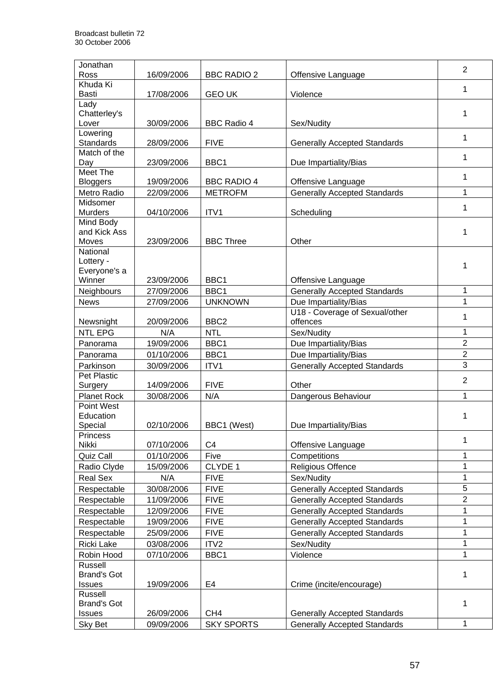| Jonathan                 |            |                    |                                            | $\overline{2}$ |
|--------------------------|------------|--------------------|--------------------------------------------|----------------|
| Ross                     | 16/09/2006 | <b>BBC RADIO 2</b> | Offensive Language                         |                |
| Khuda Ki<br><b>Basti</b> | 17/08/2006 | <b>GEO UK</b>      | Violence                                   | 1              |
| Lady                     |            |                    |                                            |                |
| Chatterley's             |            |                    |                                            | 1              |
| Lover                    | 30/09/2006 | <b>BBC Radio 4</b> | Sex/Nudity                                 |                |
| Lowering<br>Standards    | 28/09/2006 | <b>FIVE</b>        | <b>Generally Accepted Standards</b>        | 1              |
| Match of the             |            |                    |                                            |                |
| Day                      | 23/09/2006 | BBC1               | Due Impartiality/Bias                      | 1              |
| <b>Meet The</b>          |            |                    |                                            |                |
| <b>Bloggers</b>          | 19/09/2006 | <b>BBC RADIO 4</b> | Offensive Language                         | 1              |
| Metro Radio              | 22/09/2006 | <b>METROFM</b>     | <b>Generally Accepted Standards</b>        | $\mathbf{1}$   |
| Midsomer                 |            |                    |                                            |                |
| Murders                  | 04/10/2006 | ITV1               | Scheduling                                 | 1              |
| Mind Body                |            |                    |                                            |                |
| and Kick Ass             |            |                    |                                            | 1              |
| Moves                    | 23/09/2006 | <b>BBC Three</b>   | Other                                      |                |
| National                 |            |                    |                                            |                |
| Lottery -                |            |                    |                                            | 1              |
| Everyone's a             |            |                    |                                            |                |
| Winner                   | 23/09/2006 | BBC1               | Offensive Language                         |                |
| Neighbours               | 27/09/2006 | BBC1               | <b>Generally Accepted Standards</b>        | $\mathbf 1$    |
| <b>News</b>              | 27/09/2006 | <b>UNKNOWN</b>     | Due Impartiality/Bias                      | $\mathbf 1$    |
| Newsnight                | 20/09/2006 | BBC <sub>2</sub>   | U18 - Coverage of Sexual/other<br>offences | 1              |
| <b>NTL EPG</b>           | N/A        | <b>NTL</b>         | Sex/Nudity                                 | 1              |
| Panorama                 | 19/09/2006 | BBC1               | Due Impartiality/Bias                      | $\overline{2}$ |
|                          |            |                    |                                            | $\overline{2}$ |
| Panorama                 | 01/10/2006 | BBC1               | Due Impartiality/Bias                      | 3              |
| Parkinson                | 30/09/2006 | ITV1               | <b>Generally Accepted Standards</b>        |                |
| Pet Plastic              |            |                    |                                            | $\overline{2}$ |
| Surgery                  | 14/09/2006 | <b>FIVE</b>        | Other                                      | $\mathbf 1$    |
| <b>Planet Rock</b>       | 30/08/2006 | N/A                | Dangerous Behaviour                        |                |
| Point West<br>Education  |            |                    |                                            | 1              |
| Special                  | 02/10/2006 | BBC1 (West)        | Due Impartiality/Bias                      |                |
| Princess                 |            |                    |                                            |                |
| Nikki                    | 07/10/2006 | C <sub>4</sub>     | Offensive Language                         | 1              |
| Quiz Call                | 01/10/2006 | Five               | Competitions                               | $\mathbf 1$    |
| Radio Clyde              | 15/09/2006 | CLYDE 1            | Religious Offence                          | $\mathbf 1$    |
| <b>Real Sex</b>          | N/A        | <b>FIVE</b>        | Sex/Nudity                                 | 1              |
| Respectable              | 30/08/2006 | <b>FIVE</b>        | <b>Generally Accepted Standards</b>        | 5              |
| Respectable              | 11/09/2006 | <b>FIVE</b>        | <b>Generally Accepted Standards</b>        | $\overline{c}$ |
| Respectable              | 12/09/2006 | <b>FIVE</b>        | <b>Generally Accepted Standards</b>        | $\mathbf 1$    |
| Respectable              | 19/09/2006 | <b>FIVE</b>        | <b>Generally Accepted Standards</b>        | 1              |
| Respectable              | 25/09/2006 | <b>FIVE</b>        | <b>Generally Accepted Standards</b>        | $\mathbf 1$    |
|                          |            |                    |                                            |                |
| Ricki Lake               | 03/08/2006 | ITV <sub>2</sub>   | Sex/Nudity                                 | 1              |
| Robin Hood               | 07/10/2006 | BBC1               | Violence                                   | 1              |
| Russell                  |            |                    |                                            |                |
| <b>Brand's Got</b>       | 19/09/2006 | E <sub>4</sub>     | Crime (incite/encourage)                   | 1              |
| Issues<br>Russell        |            |                    |                                            |                |
| <b>Brand's Got</b>       |            |                    |                                            | 1              |
| <b>Issues</b>            | 26/09/2006 | CH <sub>4</sub>    | <b>Generally Accepted Standards</b>        |                |
| Sky Bet                  | 09/09/2006 | <b>SKY SPORTS</b>  | <b>Generally Accepted Standards</b>        | 1              |
|                          |            |                    |                                            |                |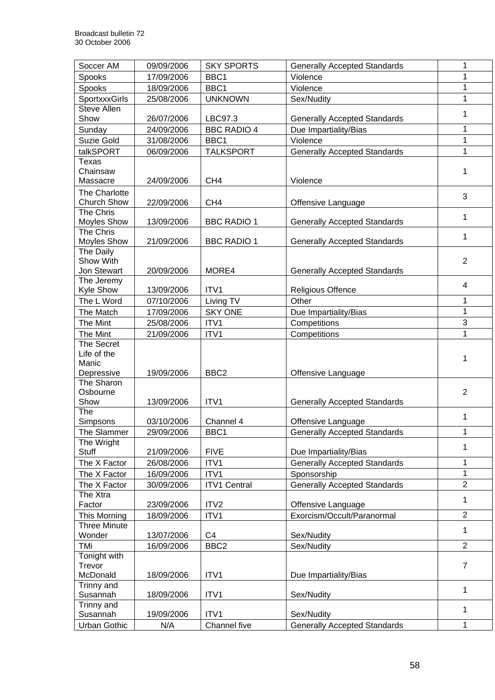| Soccer AM                                               | 09/09/2006        | <b>SKY SPORTS</b>    | <b>Generally Accepted Standards</b>               | 1              |
|---------------------------------------------------------|-------------------|----------------------|---------------------------------------------------|----------------|
| Spooks                                                  | 17/09/2006        | BBC1                 | Violence                                          | 1              |
| Spooks                                                  | 18/09/2006        | BBC <sub>1</sub>     | Violence                                          | $\overline{1}$ |
| SportxxxGirls                                           | 25/08/2006        | <b>UNKNOWN</b>       | Sex/Nudity                                        | 1              |
| <b>Steve Allen</b><br>Show                              | 26/07/2006        | LBC97.3              | <b>Generally Accepted Standards</b>               | 1              |
| Sunday                                                  | 24/09/2006        | <b>BBC RADIO 4</b>   | Due Impartiality/Bias                             | 1              |
| Suzie Gold                                              | 31/08/2006        | BBC1                 | Violence                                          | 1              |
| talkSPORT                                               | 06/09/2006        | <b>TALKSPORT</b>     | <b>Generally Accepted Standards</b>               | 1              |
| <b>Texas</b><br>Chainsaw<br>Massacre                    | 24/09/2006        | CH <sub>4</sub>      | Violence                                          | 1              |
| The Charlotte<br><b>Church Show</b>                     | 22/09/2006        | CH <sub>4</sub>      | Offensive Language                                | 3              |
| The Chris<br><b>Moyles Show</b>                         | 13/09/2006        | <b>BBC RADIO 1</b>   | <b>Generally Accepted Standards</b>               | 1              |
| The Chris<br><b>Moyles Show</b>                         | 21/09/2006        | <b>BBC RADIO 1</b>   | <b>Generally Accepted Standards</b>               | 1              |
| The Daily<br>Show With<br>Jon Stewart                   | 20/09/2006        | MORE4                | <b>Generally Accepted Standards</b>               | $\overline{2}$ |
| The Jeremy<br>Kyle Show                                 | 13/09/2006        | ITV1                 | Religious Offence                                 | 4              |
| The L Word                                              | 07/10/2006        | Living TV            | Other                                             | 1              |
| The Match                                               | 17/09/2006        | <b>SKY ONE</b>       | Due Impartiality/Bias                             | 1              |
| The Mint                                                | 25/08/2006        | ITV1                 | Competitions                                      | 3              |
| The Mint                                                | 21/09/2006        | ITV1                 | Competitions                                      | $\mathbf 1$    |
| <b>The Secret</b><br>Life of the<br>Manic<br>Depressive | 19/09/2006        | BBC <sub>2</sub>     | Offensive Language                                | 1              |
| The Sharon<br>Osbourne<br>Show                          | 13/09/2006        | ITV1                 | <b>Generally Accepted Standards</b>               | $\overline{2}$ |
| <b>The</b><br>Simpsons                                  | 03/10/2006        | Channel 4            | Offensive Language                                | 1              |
| The Slammer                                             | 29/09/2006        | BBC1                 | <b>Generally Accepted Standards</b>               | 1              |
| The Wright                                              |                   |                      |                                                   |                |
| <b>Stuff</b>                                            | 21/09/2006        | <b>FIVE</b>          | Due Impartiality/Bias                             | 1              |
| The X Factor                                            | 26/08/2006        | ITV1                 | <b>Generally Accepted Standards</b>               | 1              |
| The X Factor                                            | 16/09/2006        | ITV1                 | Sponsorship                                       | 1              |
| The X Factor                                            | 30/09/2006        | <b>ITV1 Central</b>  | <b>Generally Accepted Standards</b>               | $\overline{2}$ |
| The Xtra<br>Factor                                      | 23/09/2006        | ITV <sub>2</sub>     | Offensive Language                                | 1              |
| This Morning                                            | 18/09/2006        | ITV1                 | Exorcism/Occult/Paranormal                        | $\overline{2}$ |
| <b>Three Minute</b><br>Wonder                           |                   |                      |                                                   | 1              |
|                                                         | 13/07/2006        | C <sub>4</sub>       | Sex/Nudity                                        |                |
| TMi                                                     | 16/09/2006        | BBC <sub>2</sub>     | Sex/Nudity                                        | $\overline{2}$ |
| Tonight with<br>Trevor<br>McDonald                      | 18/09/2006        | ITV1                 | Due Impartiality/Bias                             | 7              |
| Trinny and<br>Susannah                                  | 18/09/2006        | ITV1                 | Sex/Nudity                                        | 1              |
| Trinny and                                              |                   |                      |                                                   | 1              |
| Susannah<br>Urban Gothic                                | 19/09/2006<br>N/A | ITV1<br>Channel five | Sex/Nudity<br><b>Generally Accepted Standards</b> | 1              |